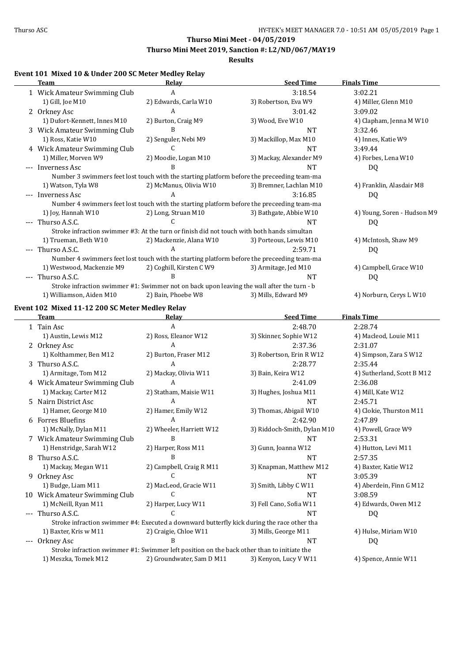**Results**

## **Event 101 Mixed 10 & Under 200 SC Meter Medley Relay**

|       | <b>Team</b>                  | Relay                                                                                      | <b>Seed Time</b>                                                                           | <b>Finals Time</b>          |
|-------|------------------------------|--------------------------------------------------------------------------------------------|--------------------------------------------------------------------------------------------|-----------------------------|
|       | 1 Wick Amateur Swimming Club | A                                                                                          | 3:18.54                                                                                    | 3:02.21                     |
|       | 1) Gill, Joe M10             | 2) Edwards, Carla W10                                                                      | 3) Robertson, Eva W9                                                                       | 4) Miller, Glenn M10        |
|       | 2 Orkney Asc                 |                                                                                            | 3:01.42                                                                                    | 3:09.02                     |
|       | 1) Dufort-Kennett, Innes M10 | 2) Burton, Craig M9                                                                        | 3) Wood, Eve W10                                                                           | 4) Clapham, Jenna M W10     |
|       | 3 Wick Amateur Swimming Club | в                                                                                          | <b>NT</b>                                                                                  | 3:32.46                     |
|       | 1) Ross, Katie W10           | 2) Senguler, Nebi M9                                                                       | 3) Mackillop, Max M10                                                                      | 4) Innes, Katie W9          |
|       | 4 Wick Amateur Swimming Club | C                                                                                          | <b>NT</b>                                                                                  | 3:49.44                     |
|       | 1) Miller, Morven W9         | 2) Moodie, Logan M10                                                                       | 3) Mackay, Alexander M9                                                                    | 4) Forbes, Lena W10         |
| ---   | Inverness Asc                |                                                                                            | <b>NT</b>                                                                                  | DQ                          |
|       |                              |                                                                                            | Number 3 swimmers feet lost touch with the starting platform before the preceeding team-ma |                             |
|       | 1) Watson, Tyla W8           | 2) McManus, Olivia W10                                                                     | 3) Bremner, Lachlan M10                                                                    | 4) Franklin, Alasdair M8    |
| ---   | Inverness Asc                | А                                                                                          | 3:16.85                                                                                    | DQ                          |
|       |                              |                                                                                            | Number 4 swimmers feet lost touch with the starting platform before the preceeding team-ma |                             |
|       | 1) Joy, Hannah W10           | 2) Long, Struan M10                                                                        | 3) Bathgate, Abbie W10                                                                     | 4) Young, Soren - Hudson M9 |
| ---   | Thurso A.S.C.                |                                                                                            | <b>NT</b>                                                                                  | DQ                          |
|       |                              | Stroke infraction swimmer #3: At the turn or finish did not touch with both hands simultan |                                                                                            |                             |
|       | 1) Trueman, Beth W10         | 2) Mackenzie, Alana W10                                                                    | 3) Porteous, Lewis M10                                                                     | 4) McIntosh, Shaw M9        |
| $---$ | Thurso A.S.C.                | A                                                                                          | 2:59.71                                                                                    | DQ                          |
|       |                              |                                                                                            | Number 4 swimmers feet lost touch with the starting platform before the preceeding team-ma |                             |
|       | 1) Westwood, Mackenzie M9    | 2) Coghill, Kirsten C W9                                                                   | 3) Armitage, Jed M10                                                                       | 4) Campbell, Grace W10      |
| $---$ | Thurso A.S.C.                |                                                                                            | <b>NT</b>                                                                                  | DQ                          |
|       |                              | Stroke infraction swimmer #1: Swimmer not on back upon leaving the wall after the turn - b |                                                                                            |                             |
|       | 1) Williamson, Aiden M10     | 2) Bain, Phoebe W8                                                                         | 3) Mills, Edward M9                                                                        | 4) Norburn, Cerys L W10     |

## **Event 102 Mixed 11-12 200 SC Meter Medley Relay**

|       | <b>Team</b>                   | Relay                                                                                      | <b>Seed Time</b>            | <b>Finals Time</b>         |
|-------|-------------------------------|--------------------------------------------------------------------------------------------|-----------------------------|----------------------------|
|       | 1 Tain Asc                    | A                                                                                          | 2:48.70                     | 2:28.74                    |
|       | 1) Austin, Lewis M12          | 2) Ross, Eleanor W12                                                                       | 3) Skinner, Sophie W12      | 4) Macleod, Louie M11      |
|       | 2 Orkney Asc                  | A                                                                                          | 2:37.36                     | 2:31.07                    |
|       | 1) Kolthammer, Ben M12        | 2) Burton, Fraser M12                                                                      | 3) Robertson, Erin R W12    | 4) Simpson, Zara S W12     |
|       | 3 Thurso A.S.C.               | A                                                                                          | 2:28.77                     | 2:35.44                    |
|       | 1) Armitage, Tom M12          | 2) Mackay, Olivia W11                                                                      | 3) Bain, Keira W12          | 4) Sutherland, Scott B M12 |
|       | 4 Wick Amateur Swimming Club  | А                                                                                          | 2:41.09                     | 2:36.08                    |
|       | 1) Mackay, Carter M12         | 2) Statham, Maisie W11                                                                     | 3) Hughes, Joshua M11       | 4) Mill, Kate W12          |
|       | 5 Nairn District Asc          | A                                                                                          | <b>NT</b>                   | 2:45.71                    |
|       | 1) Hamer, George M10          | 2) Hamer, Emily W12                                                                        | 3) Thomas, Abigail W10      | 4) Clokie, Thurston M11    |
|       | 6 Forres Bluefins             | A                                                                                          | 2:42.90                     | 2:47.89                    |
|       | 1) McNally, Dylan M11         | 2) Wheeler, Harriett W12                                                                   | 3) Riddoch-Smith, Dylan M10 | 4) Powell, Grace W9        |
|       | 7 Wick Amateur Swimming Club  | B                                                                                          | <b>NT</b>                   | 2:53.31                    |
|       | 1) Henstridge, Sarah W12      | 2) Harper, Ross M11                                                                        | 3) Gunn, Joanna W12         | 4) Hutton, Levi M11        |
| 8     | Thurso A.S.C.                 | B                                                                                          | <b>NT</b>                   | 2:57.35                    |
|       | 1) Mackay, Megan W11          | 2) Campbell, Craig R M11                                                                   | 3) Knapman, Matthew M12     | 4) Baxter, Katie W12       |
| 9     | Orkney Asc                    | C                                                                                          | <b>NT</b>                   | 3:05.39                    |
|       | 1) Budge, Liam M11            | 2) MacLeod, Gracie W11                                                                     | 3) Smith, Libby C W11       | 4) Aberdein, Finn G M12    |
|       | 10 Wick Amateur Swimming Club | C                                                                                          | <b>NT</b>                   | 3:08.59                    |
|       | 1) McNeill, Ryan M11          | 2) Harper, Lucy W11                                                                        | 3) Fell Cano, Sofia W11     | 4) Edwards, Owen M12       |
|       | Thurso A.S.C.                 | C                                                                                          | <b>NT</b>                   | DQ                         |
|       |                               | Stroke infraction swimmer #4: Executed a downward butterfly kick during the race other tha |                             |                            |
|       | 1) Baxter, Kris w M11         | 2) Craigie, Chloe W11                                                                      | 3) Mills, George M11        | 4) Hulse, Miriam W10       |
| $---$ | Orkney Asc                    | B                                                                                          | <b>NT</b>                   | DQ                         |
|       |                               | Stroke infraction swimmer #1: Swimmer left position on the back other than to initiate the |                             |                            |
|       | 1) Meszka, Tomek M12          | 2) Groundwater, Sam D M11                                                                  | 3) Kenyon, Lucy V W11       | 4) Spence, Annie W11       |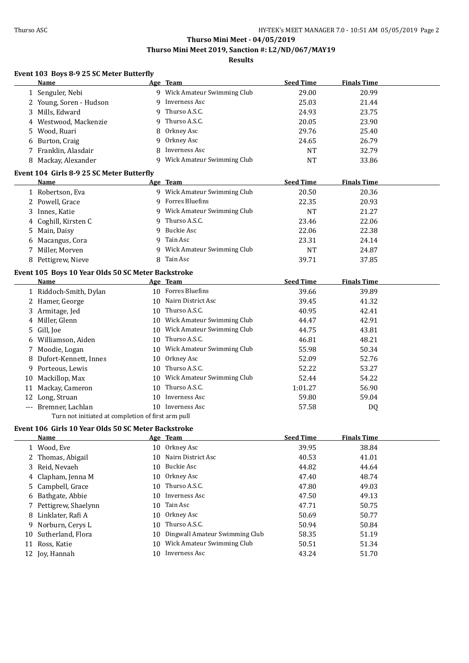**Results**

# **Event 103 Boys 8-9 25 SC Meter Butterfly**

|    | Name                                                |    | Age Team                       | <b>Seed Time</b> | <b>Finals Time</b> |  |
|----|-----------------------------------------------------|----|--------------------------------|------------------|--------------------|--|
|    | 1 Senguler, Nebi                                    |    | 9 Wick Amateur Swimming Club   | 29.00            | 20.99              |  |
|    | 2 Young, Soren - Hudson                             |    | 9 Inverness Asc                | 25.03            | 21.44              |  |
| 3  | Mills, Edward                                       | 9  | Thurso A.S.C.                  | 24.93            | 23.75              |  |
| 4  | Westwood, Mackenzie                                 | 9  | Thurso A.S.C.                  | 20.05            | 23.90              |  |
| 5. | Wood, Ruari                                         | 8  | Orkney Asc                     | 29.76            | 25.40              |  |
| 6  | Burton, Craig                                       | 9  | Orkney Asc                     | 24.65            | 26.79              |  |
|    | 7 Franklin, Alasdair                                | 8  | Inverness Asc                  | <b>NT</b>        | 32.79              |  |
|    | 8 Mackay, Alexander                                 |    | 9 Wick Amateur Swimming Club   | <b>NT</b>        | 33.86              |  |
|    |                                                     |    |                                |                  |                    |  |
|    | Event 104 Girls 8-9 25 SC Meter Butterfly           |    |                                |                  |                    |  |
|    | Name                                                |    | Age Team                       | <b>Seed Time</b> | <b>Finals Time</b> |  |
|    | 1 Robertson, Eva                                    |    | 9 Wick Amateur Swimming Club   | 20.50            | 20.36              |  |
|    | 2 Powell, Grace                                     |    | 9 Forres Bluefins              | 22.35            | 20.93              |  |
|    | 3 Innes, Katie                                      |    | 9 Wick Amateur Swimming Club   | <b>NT</b>        | 21.27              |  |
|    | 4 Coghill, Kirsten C                                |    | 9 Thurso A.S.C.                | 23.46            | 22.06              |  |
|    | 5 Main, Daisy                                       | 9  | <b>Buckie Asc</b>              | 22.06            | 22.38              |  |
|    | 6 Macangus, Cora                                    |    | 9 Tain Asc                     | 23.31            | 24.14              |  |
|    | 7 Miller, Morven                                    |    | 9 Wick Amateur Swimming Club   | <b>NT</b>        | 24.87              |  |
|    | 8 Pettigrew, Nieve                                  |    | 8 Tain Asc                     | 39.71            | 37.85              |  |
|    | Event 105 Boys 10 Year Olds 50 SC Meter Backstroke  |    |                                |                  |                    |  |
|    | <b>Name</b>                                         |    | Age Team                       | <b>Seed Time</b> | <b>Finals Time</b> |  |
|    | 1 Riddoch-Smith, Dylan                              |    | 10 Forres Bluefins             | 39.66            | 39.89              |  |
|    | 2 Hamer, George                                     |    | 10 Nairn District Asc          | 39.45            | 41.32              |  |
|    | 3 Armitage, Jed                                     |    | 10 Thurso A.S.C.               | 40.95            | 42.41              |  |
|    | 4 Miller, Glenn                                     |    | 10 Wick Amateur Swimming Club  | 44.47            | 42.91              |  |
|    | 5 Gill, Joe                                         |    | 10 Wick Amateur Swimming Club  | 44.75            | 43.81              |  |
|    | 6 Williamson, Aiden                                 |    | 10 Thurso A.S.C.               | 46.81            | 48.21              |  |
|    | 7 Moodie, Logan                                     |    | 10 Wick Amateur Swimming Club  | 55.98            | 50.34              |  |
|    | 8 Dufort-Kennett, Innes                             |    | 10 Orkney Asc                  | 52.09            | 52.76              |  |
|    | Porteous, Lewis                                     |    | 10 Thurso A.S.C.               | 52.22            | 53.27              |  |
| 9  |                                                     |    | 10 Wick Amateur Swimming Club  |                  | 54.22              |  |
|    | 10 Mackillop, Max                                   |    | 10 Thurso A.S.C.               | 52.44            |                    |  |
| 11 | Mackay, Cameron                                     |    |                                | 1:01.27          | 56.90              |  |
|    | 12 Long, Struan                                     |    | 10 Inverness Asc               | 59.80            | 59.04              |  |
|    | --- Bremner, Lachlan                                |    | 10 Inverness Asc               | 57.58            | DQ                 |  |
|    | Turn not initiated at completion of first arm pull  |    |                                |                  |                    |  |
|    | Event 106 Girls 10 Year Olds 50 SC Meter Backstroke |    |                                |                  |                    |  |
|    | <b>Name</b>                                         |    | Age Team                       | <b>Seed Time</b> | <b>Finals Time</b> |  |
|    | 1 Wood, Eve                                         |    | 10 Orkney Asc                  | 39.95            | 38.84              |  |
| 2  | Thomas, Abigail                                     | 10 | Nairn District Asc             | 40.53            | 41.01              |  |
| 3  | Reid, Nevaeh                                        | 10 | <b>Buckie Asc</b>              | 44.82            | 44.64              |  |
| 4  | Clapham, Jenna M                                    | 10 | Orkney Asc                     | 47.40            | 48.74              |  |
| 5. | Campbell, Grace                                     | 10 | Thurso A.S.C.                  | 47.80            | 49.03              |  |
| 6  | Bathgate, Abbie                                     | 10 | <b>Inverness Asc</b>           | 47.50            | 49.13              |  |
| 7  | Pettigrew, Shaelynn                                 | 10 | Tain Asc                       | 47.71            | 50.75              |  |
|    | 8 Linklater, Rafi A                                 | 10 | Orkney Asc                     | 50.69            | 50.77              |  |
| 9. | Norburn, Cerys L                                    | 10 | Thurso A.S.C.                  | 50.94            | 50.84              |  |
| 10 | Sutherland, Flora                                   | 10 | Dingwall Amateur Swimming Club | 58.35            | 51.19              |  |
|    | 11 Ross, Katie                                      |    | 10 Wick Amateur Swimming Club  | 50.51            | 51.34              |  |

12 Joy, Hannah 10 Inverness Asc 43.24 51.70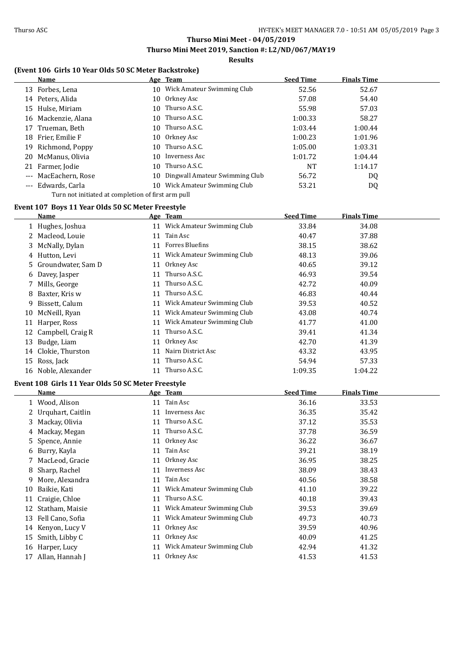**Results**

#### **(Event 106 Girls 10 Year Olds 50 SC Meter Backstroke)**

| <b>Name</b>          | Age Team                              | <b>Seed Time</b> | <b>Finals Time</b> |  |
|----------------------|---------------------------------------|------------------|--------------------|--|
| 13 Forbes, Lena      | 10 Wick Amateur Swimming Club         | 52.56            | 52.67              |  |
| Peters, Alida<br>14  | 10 Orkney Asc                         | 57.08            | 54.40              |  |
| Hulse, Miriam<br>15  | 10 Thurso A.S.C.                      | 55.98            | 57.03              |  |
| 16 Mackenzie, Alana  | Thurso A.S.C.<br>10.                  | 1:00.33          | 58.27              |  |
| 17 Trueman, Beth     | 10 Thurso A.S.C.                      | 1:03.44          | 1:00.44            |  |
| 18 Frier, Emilie F   | 10 Orkney Asc                         | 1:00.23          | 1:01.96            |  |
| 19 Richmond, Poppy   | 10 Thurso A.S.C.                      | 1:05.00          | 1:03.31            |  |
| 20 McManus, Olivia   | 10 Inverness Asc                      | 1:01.72          | 1:04.44            |  |
| 21 Farmer, Jodie     | Thurso A.S.C.<br>10                   | <b>NT</b>        | 1:14.17            |  |
| --- MacEachern, Rose | Dingwall Amateur Swimming Club<br>10. | 56.72            | DQ                 |  |
| --- Edwards, Carla   | Wick Amateur Swimming Club<br>10      | 53.21            | DQ                 |  |

Turn not initiated at completion of first arm pull

## **Event 107 Boys 11 Year Olds 50 SC Meter Freestyle**

|    | <b>Name</b>                                        |    | Age Team                      | <b>Seed Time</b> | <b>Finals Time</b> |  |
|----|----------------------------------------------------|----|-------------------------------|------------------|--------------------|--|
|    | 1 Hughes, Joshua                                   |    | 11 Wick Amateur Swimming Club | 33.84            | 34.08              |  |
|    | 2 Macleod, Louie                                   |    | 11 Tain Asc                   | 40.47            | 37.88              |  |
| 3  | McNally, Dylan                                     |    | 11 Forres Bluefins            | 38.15            | 38.62              |  |
|    | 4 Hutton, Levi                                     |    | 11 Wick Amateur Swimming Club | 48.13            | 39.06              |  |
| 5. | Groundwater, Sam D                                 | 11 | Orkney Asc                    | 40.65            | 39.12              |  |
| 6  | Davey, Jasper                                      | 11 | Thurso A.S.C.                 | 46.93            | 39.54              |  |
|    | Mills, George                                      | 11 | Thurso A.S.C.                 | 42.72            | 40.09              |  |
| 8  | Baxter, Kris w                                     |    | 11 Thurso A.S.C.              | 46.83            | 40.44              |  |
| 9  | Bissett, Calum                                     |    | 11 Wick Amateur Swimming Club | 39.53            | 40.52              |  |
| 10 | McNeill, Ryan                                      |    | 11 Wick Amateur Swimming Club | 43.08            | 40.74              |  |
|    | 11 Harper, Ross                                    |    | 11 Wick Amateur Swimming Club | 41.77            | 41.00              |  |
| 12 | Campbell, Craig R                                  | 11 | Thurso A.S.C.                 | 39.41            | 41.34              |  |
| 13 | Budge, Liam                                        | 11 | Orkney Asc                    | 42.70            | 41.39              |  |
| 14 | Clokie, Thurston                                   |    | 11 Nairn District Asc         | 43.32            | 43.95              |  |
|    | 15 Ross, Jack                                      |    | 11 Thurso A.S.C.              | 54.94            | 57.33              |  |
|    | 16 Noble, Alexander                                |    | 11 Thurso A.S.C.              | 1:09.35          | 1:04.22            |  |
|    | Event 108 Girls 11 Year Olds 50 SC Meter Freestyle |    |                               |                  |                    |  |
|    |                                                    |    |                               |                  |                    |  |
|    | <b>Name</b>                                        |    | Age Team                      | <b>Seed Time</b> | <b>Finals Time</b> |  |
|    | 1 Wood, Alison                                     |    | 11 Tain Asc                   | 36.16            | 33.53              |  |
|    |                                                    |    | 11 Inverness Asc              | 36.35            | 35.42              |  |
|    | 2 Urquhart, Caitlin<br>3 Mackay, Olivia            |    | 11 Thurso A.S.C.              | 37.12            | 35.53              |  |
| 4  | Mackay, Megan                                      | 11 | Thurso A.S.C.                 | 37.78            | 36.59              |  |
| 5. | Spence, Annie                                      | 11 | Orkney Asc                    | 36.22            | 36.67              |  |
| 6  | Burry, Kayla                                       | 11 | Tain Asc                      | 39.21            | 38.19              |  |
| 7  | MacLeod, Gracie                                    | 11 | Orkney Asc                    | 36.95            | 38.25              |  |
| 8  | Sharp, Rachel                                      | 11 | <b>Inverness Asc</b>          | 38.09            | 38.43              |  |
| 9  | More, Alexandra                                    | 11 | Tain Asc                      | 40.56            | 38.58              |  |
| 10 | Baikie, Kati                                       |    | 11 Wick Amateur Swimming Club | 41.10            | 39.22              |  |
| 11 | Craigie, Chloe                                     | 11 | Thurso A.S.C.                 | 40.18            | 39.43              |  |
|    | 12 Statham, Maisie                                 |    | 11 Wick Amateur Swimming Club | 39.53            | 39.69              |  |
|    | 13 Fell Cano, Sofia                                |    | 11 Wick Amateur Swimming Club | 49.73            | 40.73              |  |
|    | 14 Kenyon, Lucy V                                  |    | 11 Orkney Asc                 | 39.59            | 40.96              |  |
| 15 | Smith, Libby C                                     | 11 | Orkney Asc                    | 40.09            | 41.25              |  |
|    | 16 Harper, Lucy                                    |    | 11 Wick Amateur Swimming Club | 42.94            | 41.32              |  |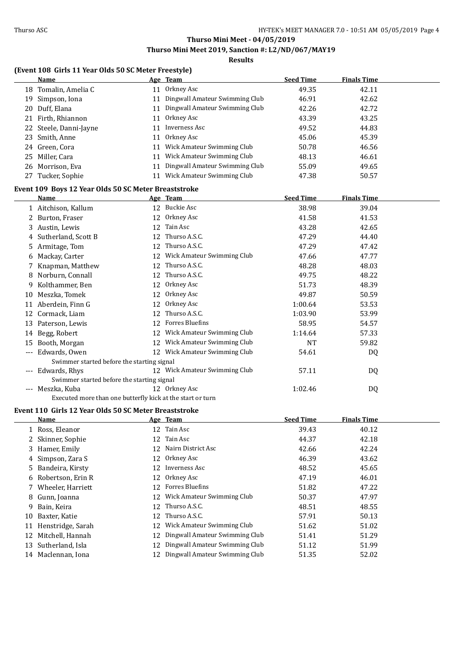**Results**

## **(Event 108 Girls 11 Year Olds 50 SC Meter Freestyle)**

|    | <b>Name</b>                                                |    | Age Team                       | <b>Seed Time</b> | <b>Finals Time</b> |  |
|----|------------------------------------------------------------|----|--------------------------------|------------------|--------------------|--|
|    | 18 Tomalin, Amelia C                                       |    | 11 Orkney Asc                  | 49.35            | 42.11              |  |
| 19 | Simpson, Iona                                              | 11 | Dingwall Amateur Swimming Club | 46.91            | 42.62              |  |
| 20 | Duff, Elana                                                | 11 | Dingwall Amateur Swimming Club | 42.26            | 42.72              |  |
| 21 | Firth, Rhiannon                                            |    | 11 Orkney Asc                  | 43.39            | 43.25              |  |
| 22 | Steele, Danni-Jayne                                        | 11 | <b>Inverness Asc</b>           | 49.52            | 44.83              |  |
| 23 | Smith, Anne                                                | 11 | Orkney Asc                     | 45.06            | 45.39              |  |
|    | 24 Green, Cora                                             | 11 | Wick Amateur Swimming Club     | 50.78            | 46.56              |  |
| 25 | Miller, Cara                                               | 11 | Wick Amateur Swimming Club     | 48.13            | 46.61              |  |
| 26 | Morrison, Eva                                              | 11 | Dingwall Amateur Swimming Club | 55.09            | 49.65              |  |
|    | 27 Tucker, Sophie                                          |    | 11 Wick Amateur Swimming Club  | 47.38            | 50.57              |  |
|    | Event 109 Boys 12 Year Olds 50 SC Meter Breaststroke       |    |                                |                  |                    |  |
|    | Name                                                       |    | Age Team                       | <b>Seed Time</b> | <b>Finals Time</b> |  |
|    | 1 Aitchison, Kallum                                        |    | 12 Buckie Asc                  | 38.98            | 39.04              |  |
| 2  | Burton, Fraser                                             |    | 12 Orkney Asc                  | 41.58            | 41.53              |  |
| 3  | Austin, Lewis                                              | 12 | Tain Asc                       | 43.28            | 42.65              |  |
| 4  | Sutherland, Scott B                                        | 12 | Thurso A.S.C.                  | 47.29            | 44.40              |  |
| 5  | Armitage, Tom                                              | 12 | Thurso A.S.C.                  | 47.29            | 47.42              |  |
| 6  | Mackay, Carter                                             |    | 12 Wick Amateur Swimming Club  | 47.66            | 47.77              |  |
| 7  | Knapman, Matthew                                           | 12 | Thurso A.S.C.                  | 48.28            | 48.03              |  |
| 8  | Norburn, Connall                                           |    | 12 Thurso A.S.C.               | 49.75            | 48.22              |  |
| 9  | Kolthammer, Ben                                            |    | 12 Orkney Asc                  | 51.73            | 48.39              |  |
| 10 | Meszka, Tomek                                              | 12 | Orkney Asc                     | 49.87            | 50.59              |  |
|    | 11 Aberdein, Finn G                                        | 12 | Orkney Asc                     | 1:00.64          | 53.53              |  |
| 12 | Cormack, Liam                                              | 12 | Thurso A.S.C.                  | 1:03.90          | 53.99              |  |
| 13 | Paterson, Lewis                                            |    | 12 Forres Bluefins             | 58.95            | 54.57              |  |
| 14 | Begg, Robert                                               |    | 12 Wick Amateur Swimming Club  | 1:14.64          | 57.33              |  |
| 15 | Booth, Morgan                                              |    | 12 Wick Amateur Swimming Club  | <b>NT</b>        | 59.82              |  |
|    | --- Edwards, Owen                                          |    | 12 Wick Amateur Swimming Club  | 54.61            | DQ                 |  |
|    | Swimmer started before the starting signal                 |    |                                |                  |                    |  |
|    | --- Edwards, Rhys                                          |    | 12 Wick Amateur Swimming Club  | 57.11            | DQ                 |  |
|    | Swimmer started before the starting signal                 |    |                                |                  |                    |  |
|    | --- Meszka, Kuba                                           |    | 12 Orkney Asc                  | 1:02.46          | DQ                 |  |
|    | Executed more than one butterfly kick at the start or turn |    |                                |                  |                    |  |

# **Event 110 Girls 12 Year Olds 50 SC Meter Breaststroke**

|    | Name                |    | Age Team                          | <b>Seed Time</b> | <b>Finals Time</b> |  |
|----|---------------------|----|-----------------------------------|------------------|--------------------|--|
|    | 1 Ross, Eleanor     |    | 12 Tain Asc                       | 39.43            | 40.12              |  |
|    | 2 Skinner, Sophie   |    | 12 Tain Asc                       | 44.37            | 42.18              |  |
|    | 3 Hamer, Emily      | 12 | Nairn District Asc                | 42.66            | 42.24              |  |
|    | 4 Simpson, Zara S   |    | 12 Orkney Asc                     | 46.39            | 43.62              |  |
|    | 5 Bandeira, Kirsty  |    | 12 Inverness Asc                  | 48.52            | 45.65              |  |
|    | 6 Robertson, Erin R |    | 12 Orkney Asc                     | 47.19            | 46.01              |  |
|    | 7 Wheeler, Harriett |    | 12 Forres Bluefins                | 51.82            | 47.22              |  |
|    | 8 Gunn, Joanna      |    | 12 Wick Amateur Swimming Club     | 50.37            | 47.97              |  |
|    | 9 Bain, Keira       |    | 12 Thurso A.S.C.                  | 48.51            | 48.55              |  |
| 10 | Baxter, Katie       |    | 12 Thurso A.S.C.                  | 57.91            | 50.13              |  |
| 11 | Henstridge, Sarah   | 12 | Wick Amateur Swimming Club        | 51.62            | 51.02              |  |
|    | 12 Mitchell, Hannah | 12 | Dingwall Amateur Swimming Club    | 51.41            | 51.29              |  |
| 13 | Sutherland, Isla    | 12 | Dingwall Amateur Swimming Club    | 51.12            | 51.99              |  |
|    | 14 Maclennan, Iona  |    | 12 Dingwall Amateur Swimming Club | 51.35            | 52.02              |  |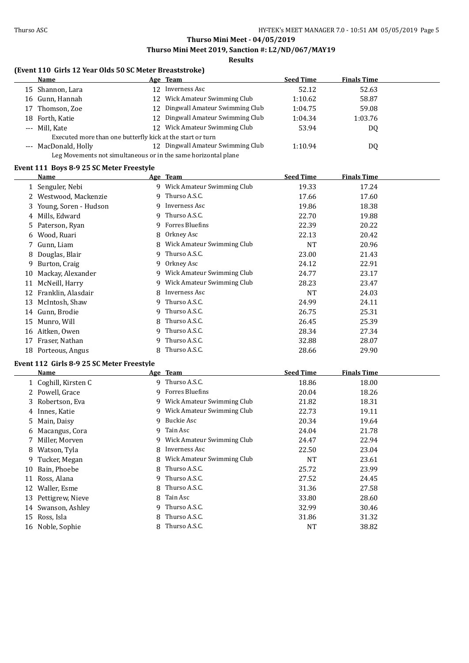## **Thurso Mini Meet 2019, Sanction #: L2/ND/067/MAY19**

#### **Results**

## **(Event 110 Girls 12 Year Olds 50 SC Meter Breaststroke)**

|    | Name                                                           |                 | Age Team                          | <b>Seed Time</b> | <b>Finals Time</b> |  |
|----|----------------------------------------------------------------|-----------------|-----------------------------------|------------------|--------------------|--|
|    | 15 Shannon, Lara                                               |                 | 12 Inverness Asc                  | 52.12            | 52.63              |  |
|    | 16 Gunn, Hannah                                                | 12 <sup>1</sup> | Wick Amateur Swimming Club        | 1:10.62          | 58.87              |  |
| 17 | Thomson, Zoe                                                   |                 | 12 Dingwall Amateur Swimming Club | 1:04.75          | 59.08              |  |
|    | 18 Forth, Katie                                                |                 | 12 Dingwall Amateur Swimming Club | 1:04.34          | 1:03.76            |  |
|    | --- Mill. Kate                                                 |                 | 12 Wick Amateur Swimming Club     | 53.94            | DQ                 |  |
|    | Executed more than one butterfly kick at the start or turn     |                 |                                   |                  |                    |  |
|    | --- MacDonald, Holly                                           |                 | 12 Dingwall Amateur Swimming Club | 1:10.94          | DQ                 |  |
|    | Leg Movements not simultaneous or in the same horizontal plane |                 |                                   |                  |                    |  |

#### **Event 111 Boys 8-9 25 SC Meter Freestyle**

|    | Name                    |   | Age Team                     | <b>Seed Time</b> | <b>Finals Time</b> |  |
|----|-------------------------|---|------------------------------|------------------|--------------------|--|
|    | 1 Senguler, Nebi        |   | 9 Wick Amateur Swimming Club | 19.33            | 17.24              |  |
|    | 2 Westwood, Mackenzie   |   | 9 Thurso A.S.C.              | 17.66            | 17.60              |  |
|    | 3 Young, Soren - Hudson | 9 | Inverness Asc                | 19.86            | 18.38              |  |
|    | 4 Mills, Edward         |   | 9 Thurso A.S.C.              | 22.70            | 19.88              |  |
|    | 5 Paterson, Ryan        | 9 | Forres Bluefins              | 22.39            | 20.22              |  |
|    | 6 Wood, Ruari           | 8 | Orkney Asc                   | 22.13            | 20.42              |  |
|    | 7 Gunn, Liam            | 8 | Wick Amateur Swimming Club   | <b>NT</b>        | 20.96              |  |
| 8  | Douglas, Blair          |   | 9 Thurso A.S.C.              | 23.00            | 21.43              |  |
| 9. | Burton, Craig           |   | 9 Orkney Asc                 | 24.12            | 22.91              |  |
| 10 | Mackay, Alexander       |   | 9 Wick Amateur Swimming Club | 24.77            | 23.17              |  |
| 11 | McNeill, Harry          |   | 9 Wick Amateur Swimming Club | 28.23            | 23.47              |  |
| 12 | Franklin, Alasdair      | 8 | Inverness Asc                | <b>NT</b>        | 24.03              |  |
| 13 | McIntosh, Shaw          |   | 9 Thurso A.S.C.              | 24.99            | 24.11              |  |
|    | 14 Gunn, Brodie         |   | 9 Thurso A.S.C.              | 26.75            | 25.31              |  |
| 15 | Munro, Will             | 8 | Thurso A.S.C.                | 26.45            | 25.39              |  |
| 16 | Aitken, Owen            | 9 | Thurso A.S.C.                | 28.34            | 27.34              |  |
| 17 | Fraser, Nathan          | 9 | Thurso A.S.C.                | 32.88            | 28.07              |  |
|    | 18 Porteous, Angus      |   | Thurso A.S.C.                | 28.66            | 29.90              |  |

## **Event 112 Girls 8-9 25 SC Meter Freestyle**

|    | Name                 |   | Age Team                     | <b>Seed Time</b> | <b>Finals Time</b> |  |
|----|----------------------|---|------------------------------|------------------|--------------------|--|
|    | 1 Coghill, Kirsten C |   | 9 Thurso A.S.C.              | 18.86            | 18.00              |  |
|    | 2 Powell, Grace      |   | 9 Forres Bluefins            | 20.04            | 18.26              |  |
|    | 3 Robertson, Eva     |   | 9 Wick Amateur Swimming Club | 21.82            | 18.31              |  |
|    | 4 Innes, Katie       |   | 9 Wick Amateur Swimming Club | 22.73            | 19.11              |  |
|    | 5 Main, Daisy        |   | 9 Buckie Asc                 | 20.34            | 19.64              |  |
|    | 6 Macangus, Cora     |   | 9 Tain Asc                   | 24.04            | 21.78              |  |
|    | 7 Miller, Morven     |   | 9 Wick Amateur Swimming Club | 24.47            | 22.94              |  |
| 8. | Watson, Tyla         | 8 | Inverness Asc                | 22.50            | 23.04              |  |
|    | 9 Tucker, Megan      |   | 8 Wick Amateur Swimming Club | NT               | 23.61              |  |
| 10 | Bain, Phoebe         | 8 | Thurso A.S.C.                | 25.72            | 23.99              |  |
| 11 | Ross, Alana          | 9 | Thurso A.S.C.                | 27.52            | 24.45              |  |
| 12 | Waller, Esme         | 8 | Thurso A.S.C.                | 31.36            | 27.58              |  |
| 13 | Pettigrew, Nieve     | 8 | Tain Asc                     | 33.80            | 28.60              |  |
|    | 14 Swanson, Ashley   | 9 | Thurso A.S.C.                | 32.99            | 30.46              |  |
| 15 | Ross, Isla           | 8 | Thurso A.S.C.                | 31.86            | 31.32              |  |
|    | 16 Noble, Sophie     |   | Thurso A.S.C.                | NT               | 38.82              |  |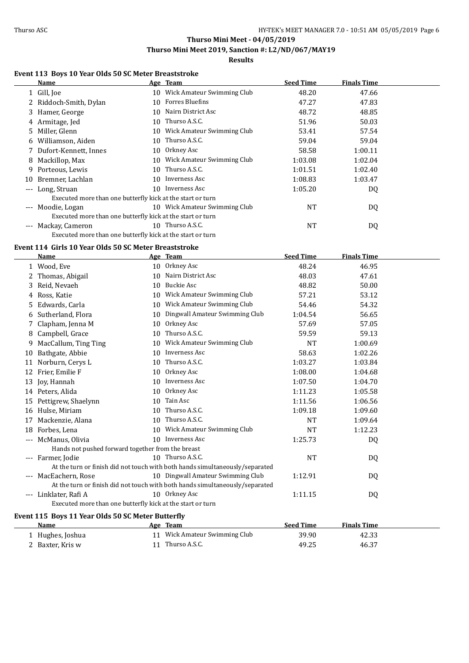٠

## **Thurso Mini Meet - 04/05/2019 Thurso Mini Meet 2019, Sanction #: L2/ND/067/MAY19**

**Results**

#### **Event 113 Boys 10 Year Olds 50 SC Meter Breaststroke**

|          | Name                                                       |    | Age Team                      | <b>Seed Time</b> | <b>Finals Time</b> |  |
|----------|------------------------------------------------------------|----|-------------------------------|------------------|--------------------|--|
|          | 1 Gill, Joe                                                | 10 | Wick Amateur Swimming Club    | 48.20            | 47.66              |  |
|          | 2 Riddoch-Smith, Dylan                                     | 10 | Forres Bluefins               | 47.27            | 47.83              |  |
|          | 3 Hamer, George                                            | 10 | Nairn District Asc            | 48.72            | 48.85              |  |
| 4        | Armitage, Jed                                              | 10 | Thurso A.S.C.                 | 51.96            | 50.03              |  |
| 5.       | Miller, Glenn                                              | 10 | Wick Amateur Swimming Club    | 53.41            | 57.54              |  |
| 6        | Williamson, Aiden                                          | 10 | Thurso A.S.C.                 | 59.04            | 59.04              |  |
|          | Dufort-Kennett, Innes                                      | 10 | Orkney Asc                    | 58.58            | 1:00.11            |  |
| 8        | Mackillop, Max                                             | 10 | Wick Amateur Swimming Club    | 1:03.08          | 1:02.04            |  |
| 9        | Porteous, Lewis                                            | 10 | Thurso A.S.C.                 | 1:01.51          | 1:02.40            |  |
|          | 10 Bremner, Lachlan                                        | 10 | Inverness Asc                 | 1:08.83          | 1:03.47            |  |
| $\cdots$ | Long, Struan                                               | 10 | Inverness Asc                 | 1:05.20          | DQ                 |  |
|          | Executed more than one butterfly kick at the start or turn |    |                               |                  |                    |  |
| $---$    | Moodie, Logan                                              |    | 10 Wick Amateur Swimming Club | <b>NT</b>        | DQ                 |  |
|          | Executed more than one butterfly kick at the start or turn |    |                               |                  |                    |  |
|          | Mackay, Cameron                                            | 10 | Thurso A.S.C.                 | NT               | DQ                 |  |
|          | Executed more than one butterfly kick at the start or turn |    |                               |                  |                    |  |

#### **Event 114 Girls 10 Year Olds 50 SC Meter Breaststroke**

|    | <b>Name</b>                                                |                 | Age Team                                                                     | <b>Seed Time</b> | <b>Finals Time</b> |  |
|----|------------------------------------------------------------|-----------------|------------------------------------------------------------------------------|------------------|--------------------|--|
|    | 1 Wood, Eve                                                |                 | 10 Orkney Asc                                                                | 48.24            | 46.95              |  |
| 2  | Thomas, Abigail                                            | 10              | Nairn District Asc                                                           | 48.03            | 47.61              |  |
| 3  | Reid, Nevaeh                                               | 10              | Buckie Asc                                                                   | 48.82            | 50.00              |  |
| 4  | Ross, Katie                                                | 10              | Wick Amateur Swimming Club                                                   | 57.21            | 53.12              |  |
| 5. | Edwards, Carla                                             | 10              | Wick Amateur Swimming Club                                                   | 54.46            | 54.32              |  |
| 6  | Sutherland, Flora                                          | 10              | Dingwall Amateur Swimming Club                                               | 1:04.54          | 56.65              |  |
|    | Clapham, Jenna M                                           | 10              | Orkney Asc                                                                   | 57.69            | 57.05              |  |
| 8  | Campbell, Grace                                            | 10              | Thurso A.S.C.                                                                | 59.59            | 59.13              |  |
| 9  | MacCallum, Ting Ting                                       | 10              | Wick Amateur Swimming Club                                                   | <b>NT</b>        | 1:00.69            |  |
| 10 | Bathgate, Abbie                                            | 10              | <b>Inverness Asc</b>                                                         | 58.63            | 1:02.26            |  |
| 11 | Norburn, Cerys L                                           | 10              | Thurso A.S.C.                                                                | 1:03.27          | 1:03.84            |  |
| 12 | Frier, Emilie F                                            | 10              | Orkney Asc                                                                   | 1:08.00          | 1:04.68            |  |
| 13 | Joy, Hannah                                                | 10              | <b>Inverness Asc</b>                                                         | 1:07.50          | 1:04.70            |  |
|    | 14 Peters, Alida                                           | 10              | Orkney Asc                                                                   | 1:11.23          | 1:05.58            |  |
| 15 | Pettigrew, Shaelynn                                        | 10              | Tain Asc                                                                     | 1:11.56          | 1:06.56            |  |
|    | 16 Hulse, Miriam                                           | 10              | Thurso A.S.C.                                                                | 1:09.18          | 1:09.60            |  |
| 17 | Mackenzie, Alana                                           | 10              | Thurso A.S.C.                                                                | <b>NT</b>        | 1:09.64            |  |
| 18 | Forbes, Lena                                               | 10 <sup>1</sup> | Wick Amateur Swimming Club                                                   | <b>NT</b>        | 1:12.23            |  |
|    | --- McManus, Olivia                                        |                 | 10 Inverness Asc                                                             | 1:25.73          | DQ                 |  |
|    | Hands not pushed forward together from the breast          |                 |                                                                              |                  |                    |  |
|    | --- Farmer, Jodie                                          |                 | 10 Thurso A.S.C.                                                             | <b>NT</b>        | DQ                 |  |
|    |                                                            |                 | At the turn or finish did not touch with both hands simultaneously/separated |                  |                    |  |
|    | --- MacEachern, Rose                                       |                 | 10 Dingwall Amateur Swimming Club                                            | 1:12.91          | DQ                 |  |
|    |                                                            |                 | At the turn or finish did not touch with both hands simultaneously/separated |                  |                    |  |
|    | --- Linklater, Rafi A                                      |                 | 10 Orkney Asc                                                                | 1:11.15          | DQ                 |  |
|    | Executed more than one butterfly kick at the start or turn |                 |                                                                              |                  |                    |  |
|    | Event 115 Boys 11 Year Olds 50 SC Meter Butterfly          |                 |                                                                              |                  |                    |  |
|    | <b>Name</b>                                                |                 | Age Team                                                                     | <b>Seed Time</b> | <b>Finals Time</b> |  |
|    | 1 Hughes, Joshua                                           |                 | 11 Wick Amateur Swimming Club                                                | 39.90            | 42.33              |  |
|    | 2 Baxter, Kris w                                           |                 | 11 Thurso A.S.C.                                                             | 49.25            | 46.37              |  |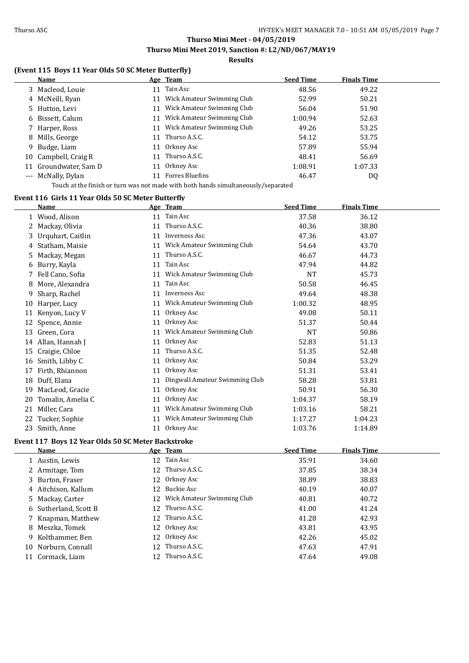**Results**

## **(Event 115 Boys 11 Year Olds 50 SC Meter Butterfly)**

| <b>Name</b>           |    | Age Team                      | <b>Seed Time</b> | <b>Finals Time</b> |
|-----------------------|----|-------------------------------|------------------|--------------------|
| 3 Macleod, Louie      | 11 | Tain Asc                      | 48.56            | 49.22              |
| 4 McNeill, Ryan       |    | 11 Wick Amateur Swimming Club | 52.99            | 50.21              |
| 5 Hutton, Levi        |    | 11 Wick Amateur Swimming Club | 56.04            | 51.90              |
| 6 Bissett, Calum      |    | 11 Wick Amateur Swimming Club | 1:00.94          | 52.63              |
| 7 Harper, Ross        |    | 11 Wick Amateur Swimming Club | 49.26            | 53.25              |
| 8 Mills, George       | 11 | Thurso A.S.C.                 | 54.12            | 53.75              |
| 9 Budge, Liam         |    | 11 Orkney Asc                 | 57.89            | 55.94              |
| 10 Campbell, Craig R  | 11 | Thurso A.S.C.                 | 48.41            | 56.69              |
| 11 Groundwater, Sam D |    | 11 Orkney Asc                 | 1:08.91          | 1:07.33            |
| --- McNally, Dylan    | 11 | Forres Bluefins               | 46.47            | DQ                 |

Touch at the finish or turn was not made with both hands simultaneously/separated

#### **Event 116 Girls 11 Year Olds 50 SC Meter Butterfly**

|    | Name               |    | Age Team                       | <b>Seed Time</b> | <b>Finals Time</b> |
|----|--------------------|----|--------------------------------|------------------|--------------------|
|    | 1 Wood, Alison     | 11 | Tain Asc                       | 37.58            | 36.12              |
|    | 2 Mackay, Olivia   | 11 | Thurso A.S.C.                  | 40.36            | 38.80              |
| 3  | Urquhart, Caitlin  | 11 | <b>Inverness Asc</b>           | 47.36            | 43.07              |
| 4  | Statham, Maisie    | 11 | Wick Amateur Swimming Club     | 54.64            | 43.70              |
| 5. | Mackay, Megan      | 11 | Thurso A.S.C.                  | 46.67            | 44.73              |
| 6  | Burry, Kayla       | 11 | Tain Asc                       | 47.94            | 44.82              |
|    | 7 Fell Cano, Sofia | 11 | Wick Amateur Swimming Club     | NT               | 45.73              |
| 8  | More, Alexandra    | 11 | Tain Asc                       | 50.58            | 46.45              |
| 9  | Sharp, Rachel      | 11 | <b>Inverness Asc</b>           | 49.64            | 48.38              |
| 10 | Harper, Lucy       | 11 | Wick Amateur Swimming Club     | 1:00.32          | 48.95              |
| 11 | Kenyon, Lucy V     | 11 | Orkney Asc                     | 49.08            | 50.11              |
| 12 | Spence, Annie      | 11 | Orkney Asc                     | 51.37            | 50.44              |
| 13 | Green, Cora        | 11 | Wick Amateur Swimming Club     | NT               | 50.86              |
| 14 | Allan, Hannah J    | 11 | Orkney Asc                     | 52.83            | 51.13              |
| 15 | Craigie, Chloe     | 11 | Thurso A.S.C.                  | 51.35            | 52.48              |
| 16 | Smith, Libby C     | 11 | Orkney Asc                     | 50.84            | 53.29              |
| 17 | Firth, Rhiannon    | 11 | Orkney Asc                     | 51.31            | 53.41              |
| 18 | Duff, Elana        | 11 | Dingwall Amateur Swimming Club | 58.28            | 53.81              |
| 19 | MacLeod, Gracie    | 11 | Orkney Asc                     | 50.91            | 56.30              |
| 20 | Tomalin, Amelia C  | 11 | Orkney Asc                     | 1:04.37          | 58.19              |
| 21 | Miller, Cara       | 11 | Wick Amateur Swimming Club     | 1:03.16          | 58.21              |
| 22 | Tucker, Sophie     | 11 | Wick Amateur Swimming Club     | 1:17.27          | 1:04.23            |
|    | 23 Smith, Anne     | 11 | Orkney Asc                     | 1:03.76          | 1:14.89            |

# **Event 117 Boys 12 Year Olds 50 SC Meter Backstroke**

 $\overline{\phantom{0}}$ 

| <b>Name</b>           | Age Team                      | <b>Seed Time</b> | <b>Finals Time</b> |
|-----------------------|-------------------------------|------------------|--------------------|
| 1 Austin, Lewis       | 12 Tain Asc                   | 35.91            | 34.60              |
| 2 Armitage, Tom       | 12 Thurso A.S.C.              | 37.85            | 38.34              |
| 3 Burton, Fraser      | 12 Orkney Asc                 | 38.89            | 38.83              |
| 4 Aitchison, Kallum   | 12 Buckie Asc                 | 40.19            | 40.07              |
| 5 Mackay, Carter      | 12 Wick Amateur Swimming Club | 40.81            | 40.72              |
| 6 Sutherland, Scott B | 12 Thurso A.S.C.              | 41.00            | 41.24              |
| 7 Knapman, Matthew    | 12 Thurso A.S.C.              | 41.28            | 42.93              |
| 8 Meszka, Tomek       | 12 Orkney Asc                 | 43.81            | 43.95              |
| 9 Kolthammer, Ben     | 12 Orkney Asc                 | 42.26            | 45.02              |
| 10 Norburn, Connall   | 12 Thurso A.S.C.              | 47.63            | 47.91              |
| 11 Cormack, Liam      | 12 Thurso A.S.C.              | 47.64            | 49.08              |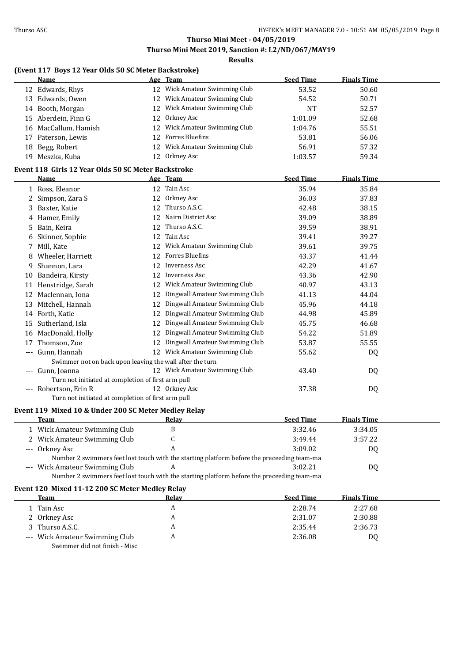|  |  |  |  | (Event 117 Boys 12 Year Olds 50 SC Meter Backstroke) |
|--|--|--|--|------------------------------------------------------|
|--|--|--|--|------------------------------------------------------|

|   | Name                                                     |    | Age Team                                                                                   | <b>Seed Time</b> | <b>Finals Time</b> |  |
|---|----------------------------------------------------------|----|--------------------------------------------------------------------------------------------|------------------|--------------------|--|
|   | 12 Edwards, Rhys                                         |    | 12 Wick Amateur Swimming Club                                                              | 53.52            | 50.60              |  |
|   | 13 Edwards, Owen                                         |    | 12 Wick Amateur Swimming Club                                                              | 54.52            | 50.71              |  |
|   | 14 Booth, Morgan                                         |    | 12 Wick Amateur Swimming Club                                                              | <b>NT</b>        | 52.57              |  |
|   | 15 Aberdein, Finn G                                      |    | 12 Orkney Asc                                                                              | 1:01.09          | 52.68              |  |
|   | 16 MacCallum, Hamish                                     |    | 12 Wick Amateur Swimming Club                                                              | 1:04.76          | 55.51              |  |
|   | 17 Paterson, Lewis                                       |    | 12 Forres Bluefins                                                                         | 53.81            | 56.06              |  |
|   | 18 Begg, Robert                                          |    | 12 Wick Amateur Swimming Club                                                              | 56.91            | 57.32              |  |
|   | 19 Meszka, Kuba                                          |    | 12 Orkney Asc                                                                              | 1:03.57          | 59.34              |  |
|   |                                                          |    |                                                                                            |                  |                    |  |
|   | Event 118 Girls 12 Year Olds 50 SC Meter Backstroke      |    |                                                                                            |                  |                    |  |
|   | Name                                                     |    | Age Team                                                                                   | <b>Seed Time</b> | <b>Finals Time</b> |  |
|   | 1 Ross, Eleanor                                          |    | 12 Tain Asc                                                                                | 35.94            | 35.84              |  |
|   | 2 Simpson, Zara S                                        |    | 12 Orkney Asc                                                                              | 36.03            | 37.83              |  |
|   | 3 Baxter, Katie                                          |    | 12 Thurso A.S.C.                                                                           | 42.48            | 38.15              |  |
|   | 4 Hamer, Emily                                           |    | 12 Nairn District Asc                                                                      | 39.09            | 38.89              |  |
|   | 5 Bain, Keira                                            |    | 12 Thurso A.S.C.                                                                           | 39.59            | 38.91              |  |
|   | 6 Skinner, Sophie                                        |    | 12 Tain Asc                                                                                | 39.41            | 39.27              |  |
|   | 7 Mill, Kate                                             |    | 12 Wick Amateur Swimming Club                                                              | 39.61            | 39.75              |  |
|   | 8 Wheeler, Harriett                                      |    | 12 Forres Bluefins                                                                         | 43.37            | 41.44              |  |
| 9 | Shannon, Lara                                            |    | 12 Inverness Asc                                                                           | 42.29            | 41.67              |  |
|   | 10 Bandeira, Kirsty                                      |    | 12 Inverness Asc                                                                           | 43.36            | 42.90              |  |
|   | 11 Henstridge, Sarah                                     |    | 12 Wick Amateur Swimming Club                                                              | 40.97            | 43.13              |  |
|   | 12 Maclennan, Iona                                       |    | 12 Dingwall Amateur Swimming Club                                                          | 41.13            | 44.04              |  |
|   | 13 Mitchell, Hannah                                      |    | 12 Dingwall Amateur Swimming Club                                                          | 45.96            | 44.18              |  |
|   | 14 Forth, Katie                                          | 12 | Dingwall Amateur Swimming Club                                                             | 44.98            | 45.89              |  |
|   | 15 Sutherland, Isla                                      | 12 | Dingwall Amateur Swimming Club                                                             | 45.75            | 46.68              |  |
|   | 16 MacDonald, Holly                                      | 12 | Dingwall Amateur Swimming Club                                                             | 54.22            | 51.89              |  |
|   | 17 Thomson, Zoe                                          |    | 12 Dingwall Amateur Swimming Club                                                          | 53.87            | 55.55              |  |
|   | Gunn, Hannah                                             |    | 12 Wick Amateur Swimming Club                                                              | 55.62            | DQ                 |  |
|   | Swimmer not on back upon leaving the wall after the turn |    |                                                                                            |                  |                    |  |
|   | --- Gunn, Joanna                                         |    | 12 Wick Amateur Swimming Club                                                              | 43.40            | DQ                 |  |
|   | Turn not initiated at completion of first arm pull       |    |                                                                                            |                  |                    |  |
|   | --- Robertson, Erin R                                    |    | 12 Orkney Asc                                                                              | 37.38            | DQ                 |  |
|   | Turn not initiated at completion of first arm pull       |    |                                                                                            |                  |                    |  |
|   | Event 119 Mixed 10 & Under 200 SC Meter Medley Relay     |    |                                                                                            |                  |                    |  |
|   | Team                                                     |    | <b>Relay</b>                                                                               | <b>Seed Time</b> | <b>Finals Time</b> |  |
|   | 1 Wick Amateur Swimming Club                             |    | B                                                                                          | 3:32.46          | 3:34.05            |  |
|   | 2 Wick Amateur Swimming Club                             |    | C                                                                                          | 3:49.44          | 3:57.22            |  |
|   | --- Orkney Asc                                           |    | A                                                                                          | 3:09.02          | DQ                 |  |
|   |                                                          |    | Number 2 swimmers feet lost touch with the starting platform before the preceeding team-ma |                  |                    |  |
|   | --- Wick Amateur Swimming Club                           |    | A                                                                                          | 3:02.21          | DQ                 |  |
|   |                                                          |    | Number 2 swimmers feet lost touch with the starting platform before the preceeding team-ma |                  |                    |  |
|   |                                                          |    |                                                                                            |                  |                    |  |
|   | Event 120 Mixed 11-12 200 SC Meter Medley Relay          |    |                                                                                            |                  |                    |  |
|   | Team                                                     |    | <b>Relay</b>                                                                               | <b>Seed Time</b> | <b>Finals Time</b> |  |
|   | 1 Tain Asc                                               |    | A                                                                                          | 2:28.74          | 2:27.68            |  |
|   | 2 Orkney Asc                                             |    | A                                                                                          | 2:31.07          | 2:30.88            |  |
|   | 3 Thurso A.S.C.                                          |    | A                                                                                          | 2:35.44          | 2:36.73            |  |
|   | --- Wick Amateur Swimming Club                           |    | A                                                                                          | 2:36.08          | DQ                 |  |

Swimmer did not finish - Misc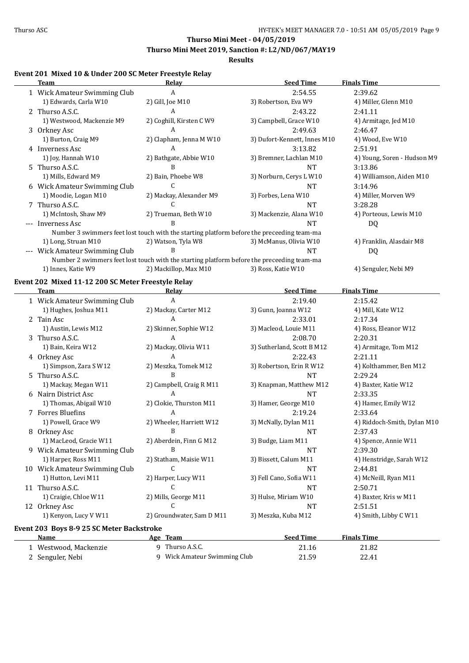$\overline{a}$ 

## **Thurso Mini Meet - 04/05/2019 Thurso Mini Meet 2019, Sanction #: L2/ND/067/MAY19**

**Results**

## **Event 201 Mixed 10 & Under 200 SC Meter Freestyle Relay**

|       | Team                         | Relay                                                                                      | <b>Seed Time</b>             | <b>Finals Time</b>          |
|-------|------------------------------|--------------------------------------------------------------------------------------------|------------------------------|-----------------------------|
|       | 1 Wick Amateur Swimming Club | A                                                                                          | 2:54.55                      | 2:39.62                     |
|       | 1) Edwards, Carla W10        | 2) Gill, Joe M10                                                                           | 3) Robertson, Eva W9         | 4) Miller, Glenn M10        |
|       | 2 Thurso A.S.C.              | A                                                                                          | 2:43.22                      | 2:41.11                     |
|       | 1) Westwood, Mackenzie M9    | 2) Coghill, Kirsten C W9                                                                   | 3) Campbell, Grace W10       | 4) Armitage, Jed M10        |
|       | 3 Orkney Asc                 | A                                                                                          | 2:49.63                      | 2:46.47                     |
|       | 1) Burton, Craig M9          | 2) Clapham, Jenna M W10                                                                    | 3) Dufort-Kennett, Innes M10 | 4) Wood, Eve W10            |
|       | 4 Inverness Asc              | A                                                                                          | 3:13.82                      | 2:51.91                     |
|       | 1) Joy, Hannah W10           | 2) Bathgate, Abbie W10                                                                     | 3) Bremner, Lachlan M10      | 4) Young, Soren - Hudson M9 |
| .5.   | Thurso A.S.C.                | B                                                                                          | NT                           | 3:13.86                     |
|       | 1) Mills, Edward M9          | 2) Bain, Phoebe W8                                                                         | 3) Norburn, Cerys L W10      | 4) Williamson, Aiden M10    |
|       | 6 Wick Amateur Swimming Club |                                                                                            | NT                           | 3:14.96                     |
|       | 1) Moodie, Logan M10         | 2) Mackay, Alexander M9                                                                    | 3) Forbes, Lena W10          | 4) Miller, Morven W9        |
|       | 7 Thurso A.S.C.              |                                                                                            | NT                           | 3:28.28                     |
|       | 1) McIntosh, Shaw M9         | 2) Trueman, Beth W10                                                                       | 3) Mackenzie, Alana W10      | 4) Porteous, Lewis M10      |
| ---   | Inverness Asc                | B                                                                                          | NT                           | DQ                          |
|       |                              | Number 3 swimmers feet lost touch with the starting platform before the preceeding team-ma |                              |                             |
|       | 1) Long, Struan M10          | 2) Watson, Tyla W8                                                                         | 3) McManus, Olivia W10       | 4) Franklin, Alasdair M8    |
| $---$ | Wick Amateur Swimming Club   | B                                                                                          | NT                           | DQ                          |
|       |                              | Number 2 swimmers feet lost touch with the starting platform before the preceeding team-ma |                              |                             |
|       | 1) Innes, Katie W9           | 2) Mackillop, Max M10                                                                      | 3) Ross, Katie W10           | 4) Senguler, Nebi M9        |

#### **Event 202 Mixed 11-12 200 SC Meter Freestyle Relay**

|    | <b>Team</b>                               | Relay                     | <b>Seed Time</b>           | <b>Finals Time</b>          |
|----|-------------------------------------------|---------------------------|----------------------------|-----------------------------|
|    | 1 Wick Amateur Swimming Club              | A                         | 2:19.40                    | 2:15.42                     |
|    | 1) Hughes, Joshua M11                     | 2) Mackay, Carter M12     | 3) Gunn, Joanna W12        | 4) Mill, Kate W12           |
|    | 2 Tain Asc                                |                           | 2:33.01                    | 2:17.34                     |
|    | 1) Austin, Lewis M12                      | 2) Skinner, Sophie W12    | 3) Macleod, Louie M11      | 4) Ross, Eleanor W12        |
|    | 3 Thurso A.S.C.                           | A                         | 2:08.70                    | 2:20.31                     |
|    | 1) Bain, Keira W12                        | 2) Mackay, Olivia W11     | 3) Sutherland, Scott B M12 | 4) Armitage, Tom M12        |
|    | 4 Orkney Asc                              | A                         | 2:22.43                    | 2:21.11                     |
|    | 1) Simpson, Zara S W12                    | 2) Meszka, Tomek M12      | 3) Robertson, Erin R W12   | 4) Kolthammer, Ben M12      |
|    | 5 Thurso A.S.C.                           | B                         | <b>NT</b>                  | 2:29.24                     |
|    | 1) Mackay, Megan W11                      | 2) Campbell, Craig R M11  | 3) Knapman, Matthew M12    | 4) Baxter, Katie W12        |
|    | 6 Nairn District Asc                      | A                         | <b>NT</b>                  | 2:33.35                     |
|    | 1) Thomas, Abigail W10                    | 2) Clokie, Thurston M11   | 3) Hamer, George M10       | 4) Hamer, Emily W12         |
|    | 7 Forres Bluefins                         | A                         | 2:19.24                    | 2:33.64                     |
|    | 1) Powell, Grace W9                       | 2) Wheeler, Harriett W12  | 3) McNally, Dylan M11      | 4) Riddoch-Smith, Dylan M10 |
| 8  | Orkney Asc                                | B                         | <b>NT</b>                  | 2:37.43                     |
|    | 1) MacLeod, Gracie W11                    | 2) Aberdein, Finn G M12   | 3) Budge, Liam M11         | 4) Spence, Annie W11        |
| 9  | Wick Amateur Swimming Club                | B                         | <b>NT</b>                  | 2:39.30                     |
|    | 1) Harper, Ross M11                       | 2) Statham, Maisie W11    | 3) Bissett, Calum M11      | 4) Henstridge, Sarah W12    |
|    | 10 Wick Amateur Swimming Club             | C                         | <b>NT</b>                  | 2:44.81                     |
|    | 1) Hutton, Levi M11                       | 2) Harper, Lucy W11       | 3) Fell Cano, Sofia W11    | 4) McNeill, Ryan M11        |
| 11 | Thurso A.S.C.                             | C                         | <b>NT</b>                  | 2:50.71                     |
|    | 1) Craigie, Chloe W11                     | 2) Mills, George M11      | 3) Hulse, Miriam W10       | 4) Baxter, Kris w M11       |
| 12 | Orkney Asc                                | C                         | <b>NT</b>                  | 2:51.51                     |
|    | 1) Kenyon, Lucy V W11                     | 2) Groundwater, Sam D M11 | 3) Meszka, Kuba M12        | 4) Smith, Libby C W11       |
|    | Event 203 Boys 8-9 25 SC Meter Backstroke |                           |                            |                             |
|    | Name                                      | Age Team                  | <b>Seed Time</b>           | <b>Finals Time</b>          |

| Westwood, Mackenzie | Thurso A.S.C.                |       | 21.82<br>_____ |
|---------------------|------------------------------|-------|----------------|
| 2 Senguler, Nebi    | 9 Wick Amateur Swimming Club | 21.59 |                |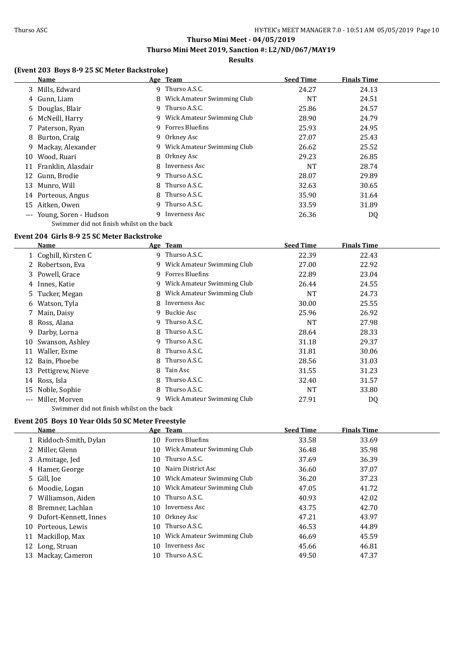## **Thurso Mini Meet 2019, Sanction #: L2/ND/067/MAY19**

**Results**

# **(Event 203 Boys 8-9 25 SC Meter Backstroke)**

|    | Name                                      |   | Age Team                     | <b>Seed Time</b> | <b>Finals Time</b> |  |
|----|-------------------------------------------|---|------------------------------|------------------|--------------------|--|
|    | 3 Mills, Edward                           |   | 9 Thurso A.S.C.              | 24.27            | 24.13              |  |
|    | 4 Gunn, Liam                              |   | 8 Wick Amateur Swimming Club | <b>NT</b>        | 24.51              |  |
|    | 5 Douglas, Blair                          | 9 | Thurso A.S.C.                | 25.86            | 24.57              |  |
|    | 6 McNeill, Harry                          |   | 9 Wick Amateur Swimming Club | 28.90            | 24.79              |  |
|    | 7 Paterson, Ryan                          |   | 9 Forres Bluefins            | 25.93            | 24.95              |  |
|    | 8 Burton, Craig                           |   | 9 Orkney Asc                 | 27.07            | 25.43              |  |
| 9. | Mackay, Alexander                         |   | 9 Wick Amateur Swimming Club | 26.62            | 25.52              |  |
| 10 | Wood, Ruari                               |   | 8 Orkney Asc                 | 29.23            | 26.85              |  |
| 11 | Franklin, Alasdair                        |   | 8 Inverness Asc              | <b>NT</b>        | 28.74              |  |
|    | 12 Gunn, Brodie                           |   | 9 Thurso A.S.C.              | 28.07            | 29.89              |  |
| 13 | Munro, Will                               | 8 | Thurso A.S.C.                | 32.63            | 30.65              |  |
|    | 14 Porteous, Angus                        |   | 8 Thurso A.S.C.              | 35.90            | 31.64              |  |
| 15 | Aitken, Owen                              |   | 9 Thurso A.S.C.              | 33.59            | 31.89              |  |
|    | Young, Soren - Hudson                     | 9 | Inverness Asc                | 26.36            | DQ                 |  |
|    | Swimmer did not finish whilst on the back |   |                              |                  |                    |  |

#### **Event 204 Girls 8-9 25 SC Meter Backstroke**

|         | Name                 |    | Age Team                     | <b>Seed Time</b> | <b>Finals Time</b> |  |
|---------|----------------------|----|------------------------------|------------------|--------------------|--|
|         | 1 Coghill, Kirsten C |    | 9 Thurso A.S.C.              | 22.39            | 22.43              |  |
|         | 2 Robertson, Eva     |    | 9 Wick Amateur Swimming Club | 27.00            | 22.92              |  |
|         | 3 Powell, Grace      |    | 9 Forres Bluefins            | 22.89            | 23.04              |  |
|         | 4 Innes, Katie       |    | 9 Wick Amateur Swimming Club | 26.44            | 24.55              |  |
|         | 5 Tucker, Megan      |    | 8 Wick Amateur Swimming Club | NT               | 24.73              |  |
|         | 6 Watson, Tyla       | 8. | Inverness Asc                | 30.00            | 25.55              |  |
|         | 7 Main, Daisy        |    | 9 Buckie Asc                 | 25.96            | 26.92              |  |
|         | 8 Ross, Alana        |    | 9 Thurso A.S.C.              | NT               | 27.98              |  |
|         | 9 Darby, Lorna       |    | 8 Thurso A.S.C.              | 28.64            | 28.33              |  |
|         | 10 Swanson, Ashley   |    | 9 Thurso A.S.C.              | 31.18            | 29.37              |  |
| 11      | Waller, Esme         |    | 8 Thurso A.S.C.              | 31.81            | 30.06              |  |
| 12      | Bain, Phoebe         |    | 8 Thurso A.S.C.              | 28.56            | 31.03              |  |
| 13      | Pettigrew, Nieve     | 8. | Tain Asc                     | 31.55            | 31.23              |  |
|         | 14 Ross, Isla        | 8  | Thurso A.S.C.                | 32.40            | 31.57              |  |
| 15      | Noble, Sophie        |    | 8 Thurso A.S.C.              | NT               | 33.80              |  |
| $- - -$ | Miller, Morven       |    | 9 Wick Amateur Swimming Club | 27.91            | DQ                 |  |
|         |                      |    |                              |                  |                    |  |

Swimmer did not finish whilst on the back

## **Event 205 Boys 10 Year Olds 50 SC Meter Freestyle**

|    | Name                   |    | Age Team                   | <b>Seed Time</b> | <b>Finals Time</b> |
|----|------------------------|----|----------------------------|------------------|--------------------|
|    | 1 Riddoch-Smith, Dylan | 10 | Forres Bluefins            | 33.58            | 33.69              |
|    | 2 Miller, Glenn        | 10 | Wick Amateur Swimming Club | 36.48            | 35.98              |
|    | 3 Armitage, Jed        | 10 | Thurso A.S.C.              | 37.69            | 36.39              |
|    | 4 Hamer, George        | 10 | Nairn District Asc         | 36.60            | 37.07              |
|    | 5 Gill, Joe            | 10 | Wick Amateur Swimming Club | 36.20            | 37.23              |
| 6  | Moodie, Logan          | 10 | Wick Amateur Swimming Club | 47.05            | 41.72              |
|    | 7 Williamson, Aiden    | 10 | Thurso A.S.C.              | 40.93            | 42.02              |
| 8  | Bremner, Lachlan       | 10 | Inverness Asc              | 43.75            | 42.70              |
| 9  | Dufort-Kennett, Innes  | 10 | Orkney Asc                 | 47.21            | 43.97              |
|    | 10 Porteous, Lewis     | 10 | Thurso A.S.C.              | 46.53            | 44.89              |
| 11 | Mackillop, Max         | 10 | Wick Amateur Swimming Club | 46.69            | 45.59              |
|    | 12 Long, Struan        | 10 | Inverness Asc              | 45.66            | 46.81              |
| 13 | Mackay, Cameron        | 10 | Thurso A.S.C.              | 49.50            | 47.37              |
|    |                        |    |                            |                  |                    |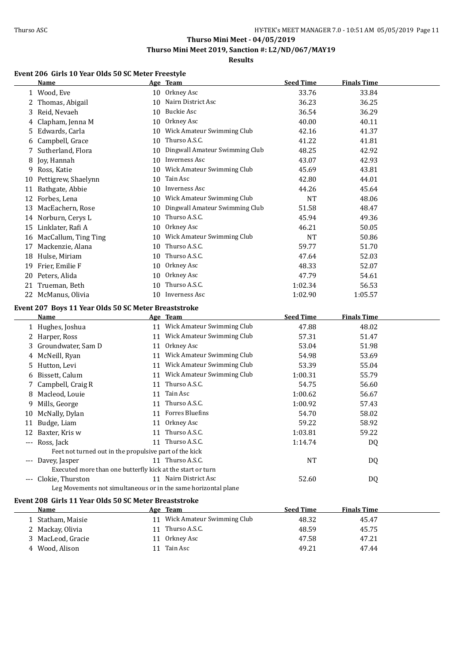**Results**

#### **Event 206 Girls 10 Year Olds 50 SC Meter Freestyle**

|    | <b>Name</b>          |    | Age Team                       | <b>Seed Time</b> | <b>Finals Time</b> |  |
|----|----------------------|----|--------------------------------|------------------|--------------------|--|
|    | Wood, Eve            | 10 | Orkney Asc                     | 33.76            | 33.84              |  |
|    | Thomas, Abigail      | 10 | Nairn District Asc             | 36.23            | 36.25              |  |
| 3  | Reid, Nevaeh         | 10 | Buckie Asc                     | 36.54            | 36.29              |  |
|    | Clapham, Jenna M     | 10 | Orkney Asc                     | 40.00            | 40.11              |  |
|    | 5 Edwards, Carla     | 10 | Wick Amateur Swimming Club     | 42.16            | 41.37              |  |
| 6  | Campbell, Grace      | 10 | Thurso A.S.C.                  | 41.22            | 41.81              |  |
|    | Sutherland, Flora    | 10 | Dingwall Amateur Swimming Club | 48.25            | 42.92              |  |
| 8  | Joy, Hannah          | 10 | Inverness Asc                  | 43.07            | 42.93              |  |
| 9  | Ross, Katie          | 10 | Wick Amateur Swimming Club     | 45.69            | 43.81              |  |
| 10 | Pettigrew, Shaelynn  | 10 | Tain Asc                       | 42.80            | 44.01              |  |
| 11 | Bathgate, Abbie      | 10 | Inverness Asc                  | 44.26            | 45.64              |  |
| 12 | Forbes, Lena         | 10 | Wick Amateur Swimming Club     | NT               | 48.06              |  |
| 13 | MacEachern, Rose     | 10 | Dingwall Amateur Swimming Club | 51.58            | 48.47              |  |
| 14 | Norburn, Cerys L     | 10 | Thurso A.S.C.                  | 45.94            | 49.36              |  |
| 15 | Linklater, Rafi A    | 10 | Orkney Asc                     | 46.21            | 50.05              |  |
| 16 | MacCallum, Ting Ting | 10 | Wick Amateur Swimming Club     | <b>NT</b>        | 50.86              |  |
| 17 | Mackenzie, Alana     | 10 | Thurso A.S.C.                  | 59.77            | 51.70              |  |
| 18 | Hulse, Miriam        | 10 | Thurso A.S.C.                  | 47.64            | 52.03              |  |
| 19 | Frier, Emilie F      | 10 | Orkney Asc                     | 48.33            | 52.07              |  |
| 20 | Peters, Alida        | 10 | Orkney Asc                     | 47.79            | 54.61              |  |
| 21 | Trueman, Beth        | 10 | Thurso A.S.C.                  | 1:02.34          | 56.53              |  |
| 22 | McManus, Olivia      | 10 | Inverness Asc                  | 1:02.90          | 1:05.57            |  |
|    |                      |    |                                |                  |                    |  |

#### **Event 207 Boys 11 Year Olds 50 SC Meter Breaststroke**

|                     | <b>Name</b>                                                    |    | Age Team                   | <b>Seed Time</b> | <b>Finals Time</b> |  |
|---------------------|----------------------------------------------------------------|----|----------------------------|------------------|--------------------|--|
|                     | 1 Hughes, Joshua                                               | 11 | Wick Amateur Swimming Club | 47.88            | 48.02              |  |
|                     | 2 Harper, Ross                                                 | 11 | Wick Amateur Swimming Club | 57.31            | 51.47              |  |
| 3.                  | Groundwater, Sam D                                             | 11 | Orkney Asc                 | 53.04            | 51.98              |  |
|                     | 4 McNeill, Ryan                                                | 11 | Wick Amateur Swimming Club | 54.98            | 53.69              |  |
| 5.                  | Hutton, Levi                                                   | 11 | Wick Amateur Swimming Club | 53.39            | 55.04              |  |
| 6                   | Bissett, Calum                                                 | 11 | Wick Amateur Swimming Club | 1:00.31          | 55.79              |  |
|                     | Campbell, Craig R                                              | 11 | Thurso A.S.C.              | 54.75            | 56.60              |  |
| 8                   | Macleod, Louie                                                 | 11 | Tain Asc                   | 1:00.62          | 56.67              |  |
| 9                   | Mills, George                                                  | 11 | Thurso A.S.C.              | 1:00.92          | 57.43              |  |
| 10                  | McNally, Dylan                                                 | 11 | <b>Forres Bluefins</b>     | 54.70            | 58.02              |  |
| 11                  | Budge, Liam                                                    | 11 | Orkney Asc                 | 59.22            | 58.92              |  |
| 12                  | Baxter, Kris w                                                 | 11 | Thurso A.S.C.              | 1:03.81          | 59.22              |  |
| ---                 | Ross, Jack                                                     | 11 | Thurso A.S.C.              | 1:14.74          | DQ                 |  |
|                     | Feet not turned out in the propulsive part of the kick         |    |                            |                  |                    |  |
| $\qquad \qquad - -$ | Davey, Jasper                                                  |    | 11 Thurso A.S.C.           | <b>NT</b>        | DQ                 |  |
|                     | Executed more than one butterfly kick at the start or turn     |    |                            |                  |                    |  |
|                     | --- Clokie, Thurston                                           |    | 11 Nairn District Asc      | 52.60            | DQ                 |  |
|                     | Leg Movements not simultaneous or in the same horizontal plane |    |                            |                  |                    |  |
|                     | Event 208 Girls 11 Year Olds 50 SC Meter Breaststroke          |    |                            |                  |                    |  |
|                     | Name                                                           |    | Age Team                   | <b>Seed Time</b> | <b>Finals Time</b> |  |
|                     | 1 Statham, Maisie                                              | 11 | Wick Amateur Swimming Club | 48.32            | 45.47              |  |
|                     | 2 Mackay, Olivia                                               | 11 | Thurso A.S.C.              | 48.59            | 45.75              |  |
| 3.                  | MacLeod, Gracie                                                | 11 | Orkney Asc                 | 47.58            | 47.21              |  |
|                     | 4 Wood, Alison                                                 | 11 | Tain Asc                   | 49.21            | 47.44              |  |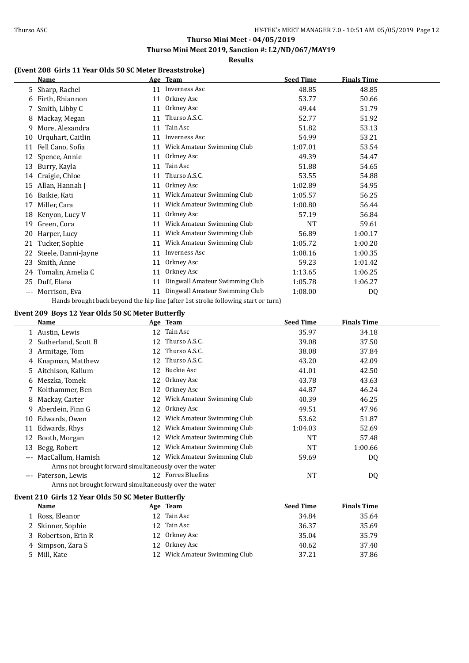**Thurso Mini Meet 2019, Sanction #: L2/ND/067/MAY19**

**Results**

# **(Event 208 Girls 11 Year Olds 50 SC Meter Breaststroke)**

|     | <b>Name</b>         |    | Age Team                                                                          | <b>Seed Time</b> | <b>Finals Time</b> |  |
|-----|---------------------|----|-----------------------------------------------------------------------------------|------------------|--------------------|--|
|     | 5 Sharp, Rachel     | 11 | Inverness Asc                                                                     | 48.85            | 48.85              |  |
|     | 6 Firth, Rhiannon   | 11 | Orkney Asc                                                                        | 53.77            | 50.66              |  |
| 7   | Smith, Libby C      | 11 | Orkney Asc                                                                        | 49.44            | 51.79              |  |
| 8   | Mackay, Megan       | 11 | Thurso A.S.C.                                                                     | 52.77            | 51.92              |  |
| 9   | More, Alexandra     | 11 | Tain Asc                                                                          | 51.82            | 53.13              |  |
| 10  | Urquhart, Caitlin   | 11 | <b>Inverness Asc</b>                                                              | 54.99            | 53.21              |  |
| 11  | Fell Cano, Sofia    | 11 | Wick Amateur Swimming Club                                                        | 1:07.01          | 53.54              |  |
| 12  | Spence, Annie       | 11 | Orkney Asc                                                                        | 49.39            | 54.47              |  |
| 13  | Burry, Kayla        | 11 | Tain Asc                                                                          | 51.88            | 54.65              |  |
| 14  | Craigie, Chloe      | 11 | Thurso A.S.C.                                                                     | 53.55            | 54.88              |  |
| 15  | Allan, Hannah J     | 11 | Orkney Asc                                                                        | 1:02.89          | 54.95              |  |
| 16  | Baikie, Kati        | 11 | Wick Amateur Swimming Club                                                        | 1:05.57          | 56.25              |  |
| 17  | Miller, Cara        | 11 | Wick Amateur Swimming Club                                                        | 1:00.80          | 56.44              |  |
| 18  | Kenyon, Lucy V      | 11 | Orkney Asc                                                                        | 57.19            | 56.84              |  |
| 19  | Green, Cora         | 11 | Wick Amateur Swimming Club                                                        | <b>NT</b>        | 59.61              |  |
| 20  | Harper, Lucy        | 11 | Wick Amateur Swimming Club                                                        | 56.89            | 1:00.17            |  |
| 21  | Tucker, Sophie      | 11 | Wick Amateur Swimming Club                                                        | 1:05.72          | 1:00.20            |  |
| 22  | Steele, Danni-Jayne | 11 | Inverness Asc                                                                     | 1:08.16          | 1:00.35            |  |
| 23  | Smith, Anne         | 11 | Orkney Asc                                                                        | 59.23            | 1:01.42            |  |
| 24  | Tomalin, Amelia C   | 11 | Orkney Asc                                                                        | 1:13.65          | 1:06.25            |  |
| 25  | Duff, Elana         | 11 | Dingwall Amateur Swimming Club                                                    | 1:05.78          | 1:06.27            |  |
| --- | Morrison, Eva       | 11 | Dingwall Amateur Swimming Club                                                    | 1:08.00          | DQ                 |  |
|     |                     |    | Hands brought back beyond the hip line (after 1st stroke following start or turn) |                  |                    |  |

## **Event 209 Boys 12 Year Olds 50 SC Meter Butterfly**

|       | Name                                                   |    | Age Team                   | <b>Seed Time</b> | <b>Finals Time</b> |  |
|-------|--------------------------------------------------------|----|----------------------------|------------------|--------------------|--|
|       | 1 Austin, Lewis                                        | 12 | Tain Asc                   | 35.97            | 34.18              |  |
|       | 2 Sutherland, Scott B                                  | 12 | Thurso A.S.C.              | 39.08            | 37.50              |  |
|       | 3 Armitage, Tom                                        | 12 | Thurso A.S.C.              | 38.08            | 37.84              |  |
|       | 4 Knapman, Matthew                                     | 12 | Thurso A.S.C.              | 43.20            | 42.09              |  |
|       | 5 Aitchison, Kallum                                    | 12 | Buckie Asc                 | 41.01            | 42.50              |  |
| 6.    | Meszka, Tomek                                          | 12 | Orkney Asc                 | 43.78            | 43.63              |  |
|       | Kolthammer, Ben                                        | 12 | Orkney Asc                 | 44.87            | 46.24              |  |
| 8     | Mackay, Carter                                         | 12 | Wick Amateur Swimming Club | 40.39            | 46.25              |  |
| 9     | Aberdein, Finn G                                       | 12 | Orkney Asc                 | 49.51            | 47.96              |  |
| 10    | Edwards, Owen                                          | 12 | Wick Amateur Swimming Club | 53.62            | 51.87              |  |
| 11    | Edwards, Rhys                                          | 12 | Wick Amateur Swimming Club | 1:04.03          | 52.69              |  |
| 12    | Booth, Morgan                                          | 12 | Wick Amateur Swimming Club | <b>NT</b>        | 57.48              |  |
| 13    | Begg, Robert                                           | 12 | Wick Amateur Swimming Club | <b>NT</b>        | 1:00.66            |  |
|       | MacCallum, Hamish                                      | 12 | Wick Amateur Swimming Club | 59.69            | DQ                 |  |
|       | Arms not brought forward simultaneously over the water |    |                            |                  |                    |  |
| $---$ | Paterson, Lewis                                        |    | 12 Forres Bluefins         | NT               | DQ                 |  |
|       | Arms not brought forward simultaneously over the water |    |                            |                  |                    |  |
|       | Event 210 Girls 12 Year Olds 50 SC Meter Butterfly     |    |                            |                  |                    |  |
|       | Name                                                   |    | Age Team                   | <b>Seed Time</b> | <b>Finals Time</b> |  |

| Name                | age leam                      | seed Time | rinais lime |
|---------------------|-------------------------------|-----------|-------------|
| 1 Ross, Eleanor     | 12 Tain Asc                   | 34.84     | 35.64       |
| 2 Skinner, Sophie   | 12 Tain Asc                   | 36.37     | 35.69       |
| 3 Robertson, Erin R | 12 Orkney Asc                 | 35.04     | 35.79       |
| 4 Simpson, Zara S   | 12 Orkney Asc                 | 40.62     | 37.40       |
| 5 Mill, Kate        | 12 Wick Amateur Swimming Club | 37.21     | 37.86       |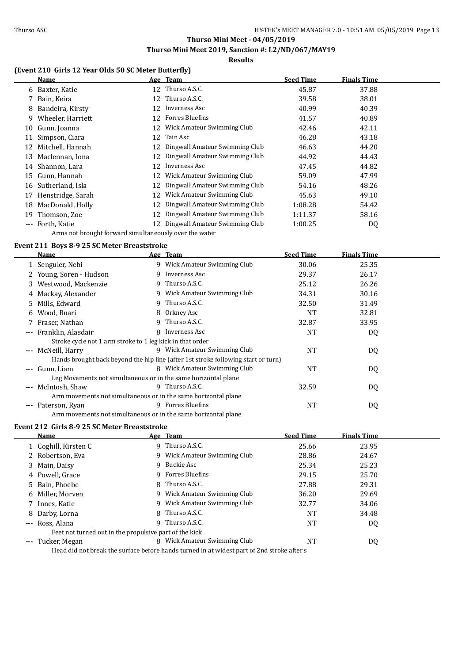$\overline{\phantom{a}}$ 

**Thurso Mini Meet - 04/05/2019**

## **Thurso Mini Meet 2019, Sanction #: L2/ND/067/MAY19**

**Results**

## **(Event 210 Girls 12 Year Olds 50 SC Meter Butterfly)**

|       | <b>Name</b>       |    | Age Team                       | <b>Seed Time</b> | <b>Finals Time</b> |  |
|-------|-------------------|----|--------------------------------|------------------|--------------------|--|
|       | 6 Baxter, Katie   | 12 | Thurso A.S.C.                  | 45.87            | 37.88              |  |
|       | 7 Bain, Keira     | 12 | Thurso A.S.C.                  | 39.58            | 38.01              |  |
| 8     | Bandeira, Kirsty  | 12 | Inverness Asc                  | 40.99            | 40.39              |  |
| 9     | Wheeler, Harriett | 12 | Forres Bluefins                | 41.57            | 40.89              |  |
| 10    | Gunn, Joanna      | 12 | Wick Amateur Swimming Club     | 42.46            | 42.11              |  |
| 11    | Simpson, Ciara    | 12 | Tain Asc                       | 46.28            | 43.18              |  |
| 12    | Mitchell, Hannah  | 12 | Dingwall Amateur Swimming Club | 46.63            | 44.20              |  |
| 13    | Maclennan, Iona   | 12 | Dingwall Amateur Swimming Club | 44.92            | 44.43              |  |
| 14    | Shannon, Lara     | 12 | Inverness Asc                  | 47.45            | 44.82              |  |
| 15    | Gunn, Hannah      | 12 | Wick Amateur Swimming Club     | 59.09            | 47.99              |  |
| 16    | Sutherland, Isla  | 12 | Dingwall Amateur Swimming Club | 54.16            | 48.26              |  |
| 17    | Henstridge, Sarah | 12 | Wick Amateur Swimming Club     | 45.63            | 49.10              |  |
| 18    | MacDonald, Holly  | 12 | Dingwall Amateur Swimming Club | 1:08.28          | 54.42              |  |
| 19    | Thomson, Zoe      | 12 | Dingwall Amateur Swimming Club | 1:11.37          | 58.16              |  |
| $---$ | Forth, Katie      | 12 | Dingwall Amateur Swimming Club | 1:00.25          | DQ                 |  |

Arms not brought forward simultaneously over the water

# **Event 211 Boys 8-9 25 SC Meter Breaststroke**

|                     | Name                                                           | Age Team                                                                          | <b>Seed Time</b> | <b>Finals Time</b> |  |
|---------------------|----------------------------------------------------------------|-----------------------------------------------------------------------------------|------------------|--------------------|--|
|                     | 1 Senguler, Nebi                                               | 9 Wick Amateur Swimming Club                                                      | 30.06            | 25.35              |  |
|                     | 2 Young, Soren - Hudson                                        | 9 Inverness Asc                                                                   | 29.37            | 26.17              |  |
|                     | 3 Westwood, Mackenzie                                          | 9 Thurso A.S.C.                                                                   | 25.12            | 26.26              |  |
|                     | 4 Mackay, Alexander                                            | 9 Wick Amateur Swimming Club                                                      | 34.31            | 30.16              |  |
|                     | 5 Mills, Edward                                                | 9 Thurso A.S.C.                                                                   | 32.50            | 31.49              |  |
|                     | 6 Wood, Ruari                                                  | 8 Orkney Asc                                                                      | NT               | 32.81              |  |
|                     | 7 Fraser, Nathan                                               | 9 Thurso A.S.C.                                                                   | 32.87            | 33.95              |  |
| $\cdots$            | Franklin, Alasdair                                             | 8 Inverness Asc                                                                   | NT               | DQ                 |  |
|                     | Stroke cycle not 1 arm stroke to 1 leg kick in that order      |                                                                                   |                  |                    |  |
| $\qquad \qquad - -$ | McNeill, Harry                                                 | 9 Wick Amateur Swimming Club                                                      | NT               | DQ                 |  |
|                     |                                                                | Hands brought back beyond the hip line (after 1st stroke following start or turn) |                  |                    |  |
| $\cdots$            | Gunn, Liam                                                     | 8 Wick Amateur Swimming Club                                                      | NT               | DQ                 |  |
|                     | Leg Movements not simultaneous or in the same horizontal plane |                                                                                   |                  |                    |  |
| $\cdots$            | McIntosh, Shaw                                                 | 9 Thurso A.S.C.                                                                   | 32.59            | DQ                 |  |
|                     | Arm movements not simultaneous or in the same horizontal plane |                                                                                   |                  |                    |  |
| $\qquad \qquad - -$ | Paterson, Ryan                                                 | 9 Forres Bluefins                                                                 | NT               | DQ                 |  |
|                     | Arm movements not simultaneous or in the same horizontal plane |                                                                                   |                  |                    |  |

#### **Event 212 Girls 8-9 25 SC Meter Breaststroke**

|   | <b>Name</b>                                            |    | Age Team                                                                                   | <b>Seed Time</b> | <b>Finals Time</b> |  |
|---|--------------------------------------------------------|----|--------------------------------------------------------------------------------------------|------------------|--------------------|--|
|   | 1 Coghill, Kirsten C                                   |    | 9 Thurso A.S.C.                                                                            | 25.66            | 23.95              |  |
|   | 2 Robertson, Eva                                       |    | 9 Wick Amateur Swimming Club                                                               | 28.86            | 24.67              |  |
|   | 3 Main, Daisy                                          |    | 9 Buckie Asc                                                                               | 25.34            | 25.23              |  |
|   | 4 Powell, Grace                                        |    | 9 Forres Bluefins                                                                          | 29.15            | 25.70              |  |
|   | 5 Bain, Phoebe                                         |    | 8 Thurso A.S.C.                                                                            | 27.88            | 29.31              |  |
| 6 | Miller, Morven                                         |    | 9 Wick Amateur Swimming Club                                                               | 36.20            | 29.69              |  |
|   | 7 Innes, Katie                                         |    | 9 Wick Amateur Swimming Club                                                               | 32.77            | 34.06              |  |
| 8 | Darby, Lorna                                           |    | 8 Thurso A.S.C.                                                                            | <b>NT</b>        | 34.48              |  |
|   | --- Ross. Alana                                        | Q. | Thurso A.S.C.                                                                              | <b>NT</b>        | DQ                 |  |
|   | Feet not turned out in the propulsive part of the kick |    |                                                                                            |                  |                    |  |
|   | --- Tucker, Megan                                      |    | 8 Wick Amateur Swimming Club                                                               | NT               | DQ                 |  |
|   |                                                        |    | Head did not break the surface before hands turned in at widest part of 2nd stroke after s |                  |                    |  |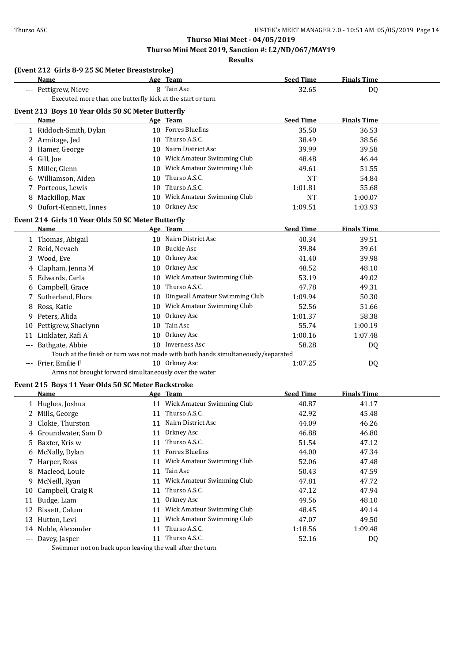## **Thurso Mini Meet 2019, Sanction #: L2/ND/067/MAY19**

**Results**

|          | (Event 212 Girls 8-9 25 SC Meter Breaststroke)             |    |                                                                                   |                  |                    |  |
|----------|------------------------------------------------------------|----|-----------------------------------------------------------------------------------|------------------|--------------------|--|
|          | <b>Name</b>                                                |    | Age Team                                                                          | <b>Seed Time</b> | <b>Finals Time</b> |  |
|          | --- Pettigrew, Nieve                                       |    | 8 Tain Asc                                                                        | 32.65            | DQ                 |  |
|          | Executed more than one butterfly kick at the start or turn |    |                                                                                   |                  |                    |  |
|          | Event 213 Boys 10 Year Olds 50 SC Meter Butterfly          |    |                                                                                   |                  |                    |  |
|          | Name                                                       |    | Age Team                                                                          | <b>Seed Time</b> | <b>Finals Time</b> |  |
|          | 1 Riddoch-Smith, Dylan                                     |    | 10 Forres Bluefins                                                                | 35.50            | 36.53              |  |
|          | 2 Armitage, Jed                                            |    | 10 Thurso A.S.C.                                                                  | 38.49            | 38.56              |  |
|          | 3 Hamer, George                                            |    | 10 Nairn District Asc                                                             | 39.99            | 39.58              |  |
|          | 4 Gill, Joe                                                |    | 10 Wick Amateur Swimming Club                                                     | 48.48            | 46.44              |  |
|          | 5 Miller, Glenn                                            |    | 10 Wick Amateur Swimming Club                                                     | 49.61            | 51.55              |  |
|          | 6 Williamson, Aiden                                        |    | 10 Thurso A.S.C.                                                                  | <b>NT</b>        | 54.84              |  |
|          | 7 Porteous, Lewis                                          |    | 10 Thurso A.S.C.                                                                  | 1:01.81          | 55.68              |  |
|          | 8 Mackillop, Max                                           |    | 10 Wick Amateur Swimming Club                                                     | NT               | 1:00.07            |  |
|          | 9 Dufort-Kennett, Innes                                    |    | 10 Orkney Asc                                                                     | 1:09.51          | 1:03.93            |  |
|          | Event 214 Girls 10 Year Olds 50 SC Meter Butterfly         |    |                                                                                   |                  |                    |  |
|          | Name                                                       |    | Age Team                                                                          | <b>Seed Time</b> | <b>Finals Time</b> |  |
|          | 1 Thomas, Abigail                                          |    | 10 Nairn District Asc                                                             | 40.34            | 39.51              |  |
|          | 2 Reid, Nevaeh                                             |    | 10 Buckie Asc                                                                     | 39.84            | 39.61              |  |
|          | 3 Wood, Eve                                                |    | 10 Orkney Asc                                                                     | 41.40            | 39.98              |  |
|          | 4 Clapham, Jenna M                                         |    | 10 Orkney Asc                                                                     | 48.52            | 48.10              |  |
|          | 5 Edwards, Carla                                           |    | 10 Wick Amateur Swimming Club                                                     | 53.19            | 49.02              |  |
| 6        | Campbell, Grace                                            |    | 10 Thurso A.S.C.                                                                  | 47.78            | 49.31              |  |
|          | 7 Sutherland, Flora                                        |    | 10 Dingwall Amateur Swimming Club                                                 | 1:09.94          | 50.30              |  |
| 8        | Ross, Katie                                                |    | 10 Wick Amateur Swimming Club                                                     | 52.56            | 51.66              |  |
|          | 9 Peters, Alida                                            |    | 10 Orkney Asc                                                                     | 1:01.37          | 58.38              |  |
|          | 10 Pettigrew, Shaelynn                                     |    | 10 Tain Asc                                                                       | 55.74            | 1:00.19            |  |
|          | 11 Linklater, Rafi A                                       |    | 10 Orkney Asc                                                                     | 1:00.16          | 1:07.48            |  |
|          | Bathgate, Abbie                                            |    | 10 Inverness Asc                                                                  | 58.28            | DQ                 |  |
|          |                                                            |    | Touch at the finish or turn was not made with both hands simultaneously/separated |                  |                    |  |
|          | --- Frier, Emilie F                                        |    | 10 Orkney Asc                                                                     | 1:07.25          | DQ                 |  |
|          | Arms not brought forward simultaneously over the water     |    |                                                                                   |                  |                    |  |
|          | Event 215 Boys 11 Year Olds 50 SC Meter Backstroke         |    |                                                                                   |                  |                    |  |
|          | Name                                                       |    | Age Team                                                                          | <b>Seed Time</b> | <b>Finals Time</b> |  |
|          | 1 Hughes, Joshua                                           |    | 11 Wick Amateur Swimming Club                                                     | 40.87            | 41.17              |  |
|          | 2 Mills, George                                            |    | 11 Thurso A.S.C.                                                                  | 42.92            | 45.48              |  |
| 3.       | Clokie, Thurston                                           |    | 11 Nairn District Asc                                                             | 44.09            | 46.26              |  |
|          | 4 Groundwater, Sam D                                       |    | 11 Orkney Asc                                                                     | 46.88            | 46.80              |  |
|          | 5 Baxter, Kris w                                           | 11 | Thurso A.S.C.                                                                     | 51.54            | 47.12              |  |
|          | 6 McNally, Dylan                                           |    | 11 Forres Bluefins                                                                | 44.00            | 47.34              |  |
|          | 7 Harper, Ross                                             | 11 | Wick Amateur Swimming Club                                                        | 52.06            | 47.48              |  |
| 8        | Macleod, Louie                                             |    | 11 Tain Asc                                                                       | 50.43            | 47.59              |  |
| 9        | McNeill, Ryan                                              |    | 11 Wick Amateur Swimming Club                                                     | 47.81            | 47.72              |  |
| 10       | Campbell, Craig R                                          | 11 | Thurso A.S.C.                                                                     | 47.12            | 47.94              |  |
| 11       | Budge, Liam                                                | 11 | Orkney Asc                                                                        | 49.56            | 48.10              |  |
| 12       | Bissett, Calum                                             | 11 | Wick Amateur Swimming Club                                                        | 48.45            | 49.14              |  |
|          | 13 Hutton, Levi                                            | 11 | Wick Amateur Swimming Club                                                        | 47.07            | 49.50              |  |
| 14       | Noble, Alexander                                           | 11 | Thurso A.S.C.                                                                     | 1:18.56          | 1:09.48            |  |
| $\cdots$ | Davey, Jasper                                              |    | 11 Thurso A.S.C.                                                                  | 52.16            | DQ                 |  |
|          | Swimmer not on back upon leaving the wall after the turn   |    |                                                                                   |                  |                    |  |

Swimmer not on back upon leaving the wall after the turn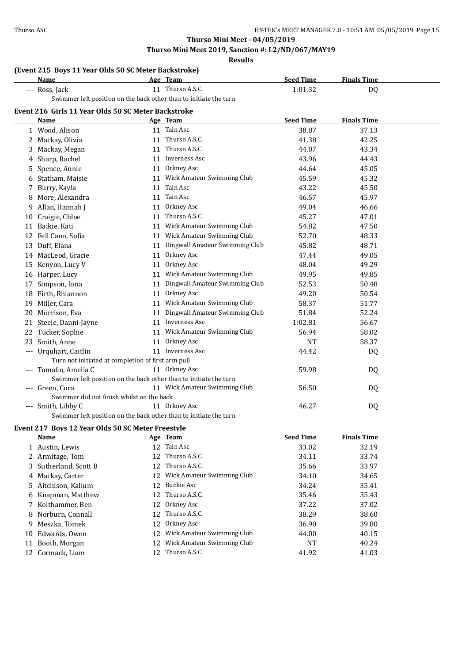## **Thurso Mini Meet 2019, Sanction #: L2/ND/067/MAY19**

**Results**

|  |  |  | (Event 215 Boys 11 Year Olds 50 SC Meter Backstroke |  |
|--|--|--|-----------------------------------------------------|--|
|--|--|--|-----------------------------------------------------|--|

|       | <b>Name</b>                                         | Age Team                                                          | <b>Seed Time</b> | <b>Finals Time</b> |  |
|-------|-----------------------------------------------------|-------------------------------------------------------------------|------------------|--------------------|--|
|       | --- Ross, Jack                                      | 11 Thurso A.S.C.                                                  | 1:01.32          | DQ                 |  |
|       |                                                     | Swimmer left position on the back other than to initiate the turn |                  |                    |  |
|       | Event 216 Girls 11 Year Olds 50 SC Meter Backstroke |                                                                   |                  |                    |  |
|       | Name                                                | Age Team                                                          | <b>Seed Time</b> | <b>Finals Time</b> |  |
|       | 1 Wood, Alison                                      | 11 Tain Asc                                                       | 38.87            | 37.13              |  |
|       | 2 Mackay, Olivia                                    | 11 Thurso A.S.C.                                                  | 41.38            | 42.25              |  |
|       | 3 Mackay, Megan                                     | 11 Thurso A.S.C.                                                  | 44.07            | 43.34              |  |
|       | 4 Sharp, Rachel                                     | 11 Inverness Asc                                                  | 43.96            | 44.43              |  |
|       | 5 Spence, Annie                                     | 11 Orkney Asc                                                     | 44.64            | 45.05              |  |
|       | 6 Statham, Maisie                                   | 11 Wick Amateur Swimming Club                                     | 45.59            | 45.32              |  |
|       | 7 Burry, Kayla                                      | 11 Tain Asc                                                       | 43.22            | 45.50              |  |
|       | 8 More, Alexandra                                   | 11 Tain Asc                                                       | 46.57            | 45.97              |  |
|       | 9 Allan, Hannah J                                   | 11 Orkney Asc                                                     | 49.04            | 46.66              |  |
| 10    | Craigie, Chloe                                      | 11 Thurso A.S.C.                                                  | 45.27            | 47.01              |  |
| 11    | Baikie, Kati                                        | 11 Wick Amateur Swimming Club                                     | 54.82            | 47.50              |  |
|       | 12 Fell Cano, Sofia                                 | 11 Wick Amateur Swimming Club                                     | 52.70            | 48.33              |  |
|       | 13 Duff, Elana                                      | 11 Dingwall Amateur Swimming Club                                 | 45.82            | 48.71              |  |
|       | 14 MacLeod, Gracie                                  | 11 Orkney Asc                                                     | 47.44            | 49.05              |  |
|       | 15 Kenyon, Lucy V                                   | 11 Orkney Asc                                                     | 48.04            | 49.29              |  |
|       | 16 Harper, Lucy                                     | 11 Wick Amateur Swimming Club                                     | 49.95            | 49.85              |  |
| 17    | Simpson, Iona                                       | 11 Dingwall Amateur Swimming Club                                 | 52.53            | 50.48              |  |
|       | 18 Firth, Rhiannon                                  | 11 Orkney Asc                                                     | 49.20            | 50.54              |  |
|       | 19 Miller, Cara                                     | 11 Wick Amateur Swimming Club                                     | 58.37            | 51.77              |  |
|       | 20 Morrison, Eva                                    | 11 Dingwall Amateur Swimming Club                                 | 51.84            | 52.24              |  |
| 21    | Steele, Danni-Jayne                                 | 11 Inverness Asc                                                  | 1:02.81          | 56.67              |  |
| 22    | Tucker, Sophie                                      | 11 Wick Amateur Swimming Club                                     | 56.94            | 58.02              |  |
| 23    | Smith, Anne                                         | 11 Orkney Asc                                                     | NT               | 58.37              |  |
| $---$ | Urquhart, Caitlin                                   | 11 Inverness Asc                                                  | 44.42            | DQ                 |  |
|       | Turn not initiated at completion of first arm pull  |                                                                   |                  |                    |  |
| ---   | Tomalin, Amelia C                                   | 11 Orkney Asc                                                     | 59.98            | DQ                 |  |
|       |                                                     | Swimmer left position on the back other than to initiate the turn |                  |                    |  |
| $---$ | Green, Cora                                         | 11 Wick Amateur Swimming Club                                     | 56.50            | DQ                 |  |
|       | Swimmer did not finish whilst on the back           |                                                                   |                  |                    |  |
| ---   | Smith, Libby C                                      | 11 Orkney Asc                                                     | 46.27            | DQ                 |  |

# **Event 217 Boys 12 Year Olds 50 SC Meter Freestyle**

|    | Name                  |    | Age Team                      | <b>Seed Time</b> | <b>Finals Time</b> |
|----|-----------------------|----|-------------------------------|------------------|--------------------|
|    | 1 Austin, Lewis       |    | 12 Tain Asc                   | 33.02            | 32.19              |
|    | 2 Armitage, Tom       |    | 12 Thurso A.S.C.              | 34.11            | 33.74              |
|    | 3 Sutherland, Scott B |    | 12 Thurso A.S.C.              | 35.66            | 33.97              |
|    | 4 Mackay, Carter      |    | 12 Wick Amateur Swimming Club | 34.10            | 34.65              |
|    | 5 Aitchison, Kallum   | 12 | Buckie Asc                    | 34.24            | 35.41              |
|    | 6 Knapman, Matthew    |    | 12 Thurso A.S.C.              | 35.46            | 35.43              |
|    | 7 Kolthammer, Ben     |    | 12 Orkney Asc                 | 37.22            | 37.02              |
|    | 8 Norburn, Connall    |    | 12 Thurso A.S.C.              | 38.29            | 38.60              |
|    | 9 Meszka, Tomek       |    | 12 Orkney Asc                 | 36.90            | 39.80              |
| 10 | Edwards, Owen         |    | 12 Wick Amateur Swimming Club | 44.00            | 40.15              |
| 11 | Booth, Morgan         |    | 12 Wick Amateur Swimming Club | <b>NT</b>        | 40.24              |
|    | 12 Cormack, Liam      |    | 12 Thurso A.S.C.              | 41.92            | 41.03              |
|    |                       |    |                               |                  |                    |